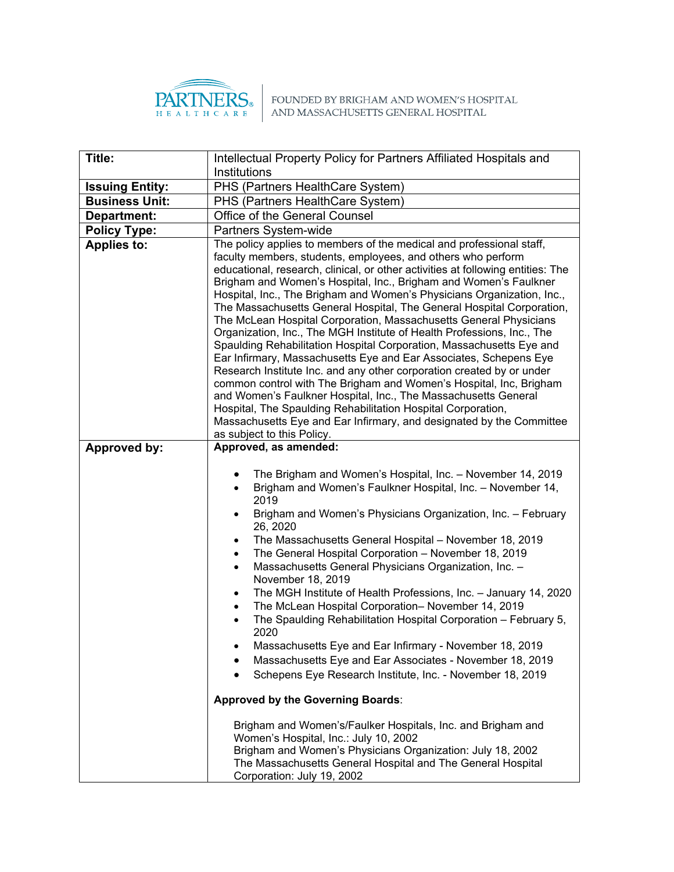

 $\left. \begin{array}{c} \quad \quad \text{PARTNERS}_{\tiny{\text{B}}}\quad \text{FOUNDED BY BRIGHAM AND WOMEN'S HOSPITAL HOSPITAL} \end{array} \right\}$  AND MASSACHUSETTS GENERAL HOSPITAL

| Title:                 | Intellectual Property Policy for Partners Affiliated Hospitals and                                                                                                                                                                                                                                                                                                                                                                                                                                                                                                                                                                                                                                                                                                                                                                                                                                                                                                                                                                                                                                                                                                             |  |  |
|------------------------|--------------------------------------------------------------------------------------------------------------------------------------------------------------------------------------------------------------------------------------------------------------------------------------------------------------------------------------------------------------------------------------------------------------------------------------------------------------------------------------------------------------------------------------------------------------------------------------------------------------------------------------------------------------------------------------------------------------------------------------------------------------------------------------------------------------------------------------------------------------------------------------------------------------------------------------------------------------------------------------------------------------------------------------------------------------------------------------------------------------------------------------------------------------------------------|--|--|
|                        | Institutions                                                                                                                                                                                                                                                                                                                                                                                                                                                                                                                                                                                                                                                                                                                                                                                                                                                                                                                                                                                                                                                                                                                                                                   |  |  |
| <b>Issuing Entity:</b> | PHS (Partners HealthCare System)                                                                                                                                                                                                                                                                                                                                                                                                                                                                                                                                                                                                                                                                                                                                                                                                                                                                                                                                                                                                                                                                                                                                               |  |  |
| <b>Business Unit:</b>  | PHS (Partners HealthCare System)                                                                                                                                                                                                                                                                                                                                                                                                                                                                                                                                                                                                                                                                                                                                                                                                                                                                                                                                                                                                                                                                                                                                               |  |  |
| Department:            | Office of the General Counsel                                                                                                                                                                                                                                                                                                                                                                                                                                                                                                                                                                                                                                                                                                                                                                                                                                                                                                                                                                                                                                                                                                                                                  |  |  |
| <b>Policy Type:</b>    | Partners System-wide                                                                                                                                                                                                                                                                                                                                                                                                                                                                                                                                                                                                                                                                                                                                                                                                                                                                                                                                                                                                                                                                                                                                                           |  |  |
| <b>Applies to:</b>     | The policy applies to members of the medical and professional staff,<br>faculty members, students, employees, and others who perform<br>educational, research, clinical, or other activities at following entities: The<br>Brigham and Women's Hospital, Inc., Brigham and Women's Faulkner<br>Hospital, Inc., The Brigham and Women's Physicians Organization, Inc.,<br>The Massachusetts General Hospital, The General Hospital Corporation,<br>The McLean Hospital Corporation, Massachusetts General Physicians<br>Organization, Inc., The MGH Institute of Health Professions, Inc., The<br>Spaulding Rehabilitation Hospital Corporation, Massachusetts Eye and<br>Ear Infirmary, Massachusetts Eye and Ear Associates, Schepens Eye<br>Research Institute Inc. and any other corporation created by or under<br>common control with The Brigham and Women's Hospital, Inc, Brigham<br>and Women's Faulkner Hospital, Inc., The Massachusetts General<br>Hospital, The Spaulding Rehabilitation Hospital Corporation,<br>Massachusetts Eye and Ear Infirmary, and designated by the Committee<br>as subject to this Policy.                                              |  |  |
| <b>Approved by:</b>    | Approved, as amended:                                                                                                                                                                                                                                                                                                                                                                                                                                                                                                                                                                                                                                                                                                                                                                                                                                                                                                                                                                                                                                                                                                                                                          |  |  |
|                        | The Brigham and Women's Hospital, Inc. - November 14, 2019<br>٠<br>Brigham and Women's Faulkner Hospital, Inc. - November 14,<br>$\bullet$<br>2019<br>Brigham and Women's Physicians Organization, Inc. - February<br>$\bullet$<br>26, 2020<br>The Massachusetts General Hospital - November 18, 2019<br>٠<br>The General Hospital Corporation - November 18, 2019<br>$\bullet$<br>Massachusetts General Physicians Organization, Inc. -<br>$\bullet$<br>November 18, 2019<br>The MGH Institute of Health Professions, Inc. - January 14, 2020<br>$\bullet$<br>The McLean Hospital Corporation- November 14, 2019<br>$\bullet$<br>The Spaulding Rehabilitation Hospital Corporation - February 5,<br>2020<br>Massachusetts Eye and Ear Infirmary - November 18, 2019<br>Massachusetts Eye and Ear Associates - November 18, 2019<br>Schepens Eye Research Institute, Inc. - November 18, 2019<br><b>Approved by the Governing Boards:</b><br>Brigham and Women's/Faulker Hospitals, Inc. and Brigham and<br>Women's Hospital, Inc.: July 10, 2002<br>Brigham and Women's Physicians Organization: July 18, 2002<br>The Massachusetts General Hospital and The General Hospital |  |  |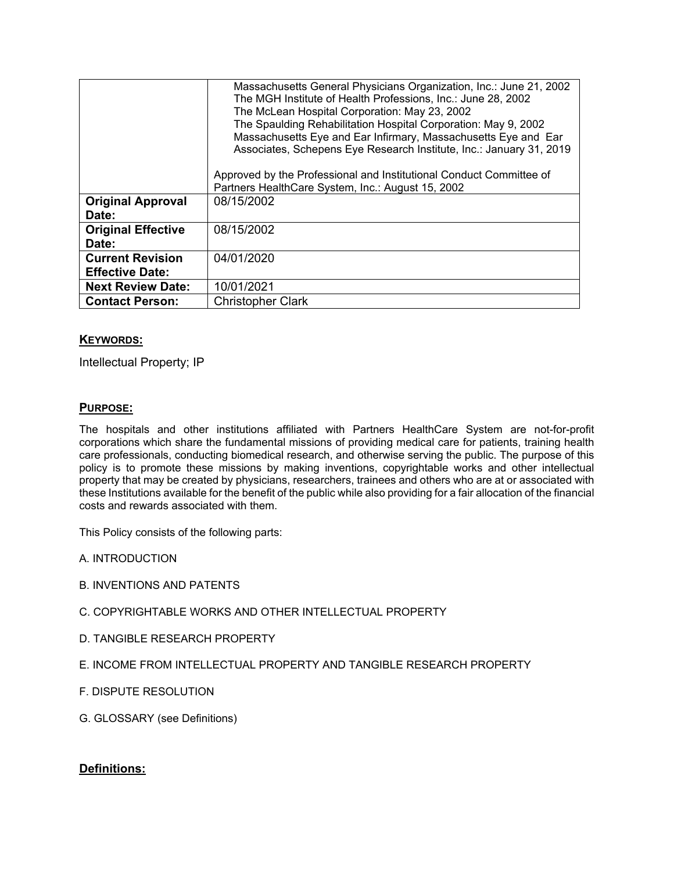|                                                   | Massachusetts General Physicians Organization, Inc.: June 21, 2002<br>The MGH Institute of Health Professions, Inc.: June 28, 2002<br>The McLean Hospital Corporation: May 23, 2002<br>The Spaulding Rehabilitation Hospital Corporation: May 9, 2002<br>Massachusetts Eye and Ear Infirmary, Massachusetts Eye and Ear<br>Associates, Schepens Eye Research Institute, Inc.: January 31, 2019<br>Approved by the Professional and Institutional Conduct Committee of<br>Partners HealthCare System, Inc.: August 15, 2002 |
|---------------------------------------------------|----------------------------------------------------------------------------------------------------------------------------------------------------------------------------------------------------------------------------------------------------------------------------------------------------------------------------------------------------------------------------------------------------------------------------------------------------------------------------------------------------------------------------|
| <b>Original Approval</b><br>Date:                 | 08/15/2002                                                                                                                                                                                                                                                                                                                                                                                                                                                                                                                 |
| <b>Original Effective</b><br>Date:                | 08/15/2002                                                                                                                                                                                                                                                                                                                                                                                                                                                                                                                 |
| <b>Current Revision</b><br><b>Effective Date:</b> | 04/01/2020                                                                                                                                                                                                                                                                                                                                                                                                                                                                                                                 |
| <b>Next Review Date:</b>                          | 10/01/2021                                                                                                                                                                                                                                                                                                                                                                                                                                                                                                                 |
| <b>Contact Person:</b>                            | <b>Christopher Clark</b>                                                                                                                                                                                                                                                                                                                                                                                                                                                                                                   |

### **KEYWORDS:**

Intellectual Property; IP

### **PURPOSE:**

The hospitals and other institutions affiliated with Partners HealthCare System are not-for-profit corporations which share the fundamental missions of providing medical care for patients, training health care professionals, conducting biomedical research, and otherwise serving the public. The purpose of this policy is to promote these missions by making inventions, copyrightable works and other intellectual property that may be created by physicians, researchers, trainees and others who are at or associated with these Institutions available for the benefit of the public while also providing for a fair allocation of the financial costs and rewards associated with them.

This Policy consists of the following parts:

A. INTRODUCTION

- B. INVENTIONS AND PATENTS
- C. COPYRIGHTABLE WORKS AND OTHER INTELLECTUAL PROPERTY
- D. TANGIBLE RESEARCH PROPERTY
- E. INCOME FROM INTELLECTUAL PROPERTY AND TANGIBLE RESEARCH PROPERTY
- F. DISPUTE RESOLUTION
- G. GLOSSARY (see Definitions)

### **Definitions:**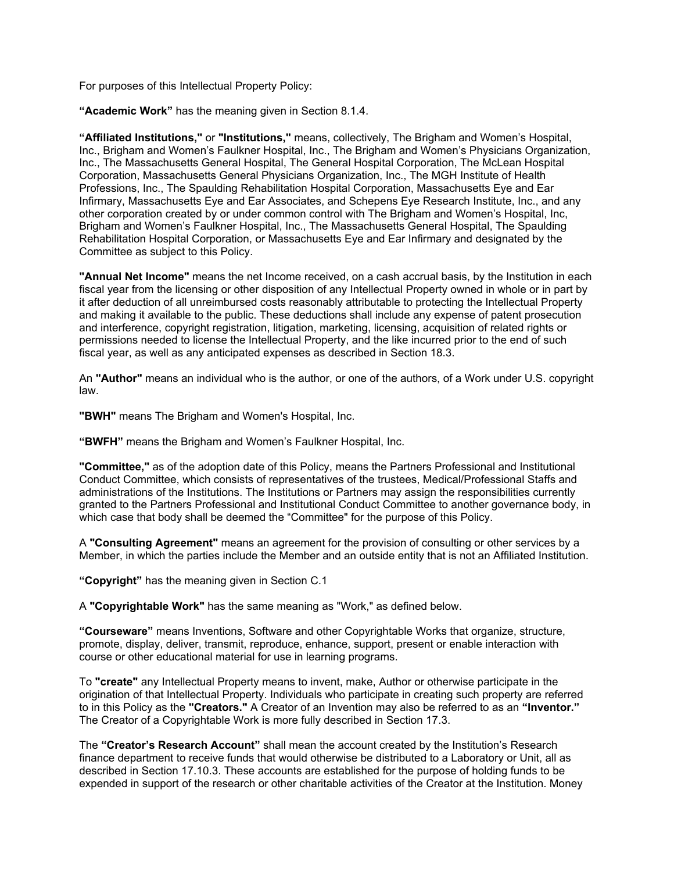For purposes of this Intellectual Property Policy:

**"Academic Work"** has the meaning given in Section 8.1.4.

**"Affiliated Institutions,"** or **"Institutions,"** means, collectively, The Brigham and Women's Hospital, Inc., Brigham and Women's Faulkner Hospital, Inc., The Brigham and Women's Physicians Organization, Inc., The Massachusetts General Hospital, The General Hospital Corporation, The McLean Hospital Corporation, Massachusetts General Physicians Organization, Inc., The MGH Institute of Health Professions, Inc., The Spaulding Rehabilitation Hospital Corporation, Massachusetts Eye and Ear Infirmary, Massachusetts Eye and Ear Associates, and Schepens Eye Research Institute, Inc., and any other corporation created by or under common control with The Brigham and Women's Hospital, Inc, Brigham and Women's Faulkner Hospital, Inc., The Massachusetts General Hospital, The Spaulding Rehabilitation Hospital Corporation, or Massachusetts Eye and Ear Infirmary and designated by the Committee as subject to this Policy.

**"Annual Net Income"** means the net Income received, on a cash accrual basis, by the Institution in each fiscal year from the licensing or other disposition of any Intellectual Property owned in whole or in part by it after deduction of all unreimbursed costs reasonably attributable to protecting the Intellectual Property and making it available to the public. These deductions shall include any expense of patent prosecution and interference, copyright registration, litigation, marketing, licensing, acquisition of related rights or permissions needed to license the Intellectual Property, and the like incurred prior to the end of such fiscal year, as well as any anticipated expenses as described in Section 18.3.

An **"Author"** means an individual who is the author, or one of the authors, of a Work under U.S. copyright law.

**"BWH"** means The Brigham and Women's Hospital, Inc.

**"BWFH"** means the Brigham and Women's Faulkner Hospital, Inc.

**"Committee,"** as of the adoption date of this Policy, means the Partners Professional and Institutional Conduct Committee, which consists of representatives of the trustees, Medical/Professional Staffs and administrations of the Institutions. The Institutions or Partners may assign the responsibilities currently granted to the Partners Professional and Institutional Conduct Committee to another governance body, in which case that body shall be deemed the "Committee" for the purpose of this Policy.

A **"Consulting Agreement"** means an agreement for the provision of consulting or other services by a Member, in which the parties include the Member and an outside entity that is not an Affiliated Institution.

**"Copyright"** has the meaning given in Section C.1

A **"Copyrightable Work"** has the same meaning as "Work," as defined below.

**"Courseware"** means Inventions, Software and other Copyrightable Works that organize, structure, promote, display, deliver, transmit, reproduce, enhance, support, present or enable interaction with course or other educational material for use in learning programs.

To **"create"** any Intellectual Property means to invent, make, Author or otherwise participate in the origination of that Intellectual Property. Individuals who participate in creating such property are referred to in this Policy as the **"Creators."** A Creator of an Invention may also be referred to as an **"Inventor."** The Creator of a Copyrightable Work is more fully described in Section 17.3.

The **"Creator's Research Account"** shall mean the account created by the Institution's Research finance department to receive funds that would otherwise be distributed to a Laboratory or Unit, all as described in Section 17.10.3. These accounts are established for the purpose of holding funds to be expended in support of the research or other charitable activities of the Creator at the Institution. Money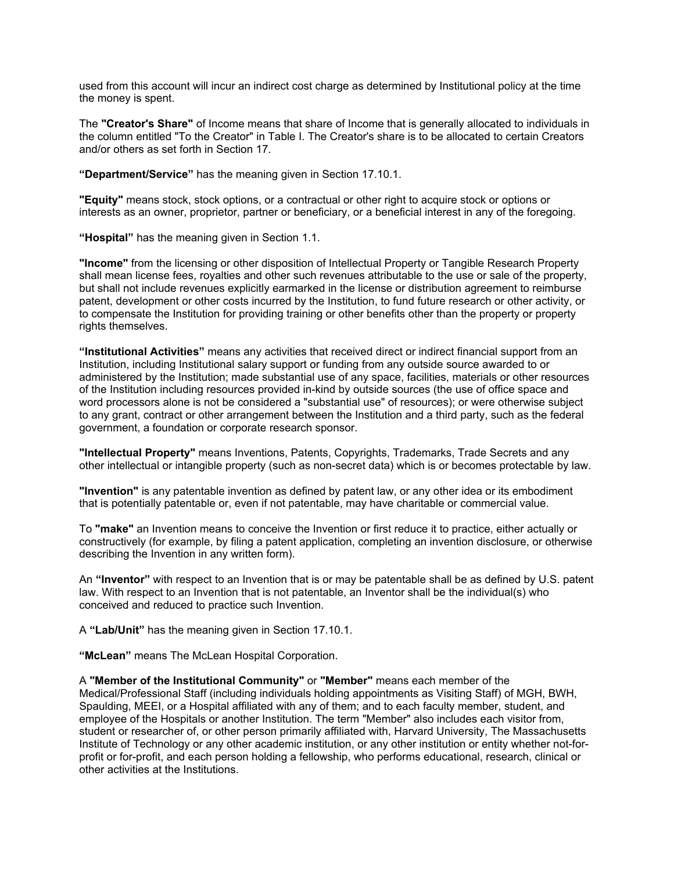used from this account will incur an indirect cost charge as determined by Institutional policy at the time the money is spent.

The **"Creator's Share"** of Income means that share of Income that is generally allocated to individuals in the column entitled "To the Creator" in Table I. The Creator's share is to be allocated to certain Creators and/or others as set forth in Section 17.

**"Department/Service"** has the meaning given in Section 17.10.1.

**"Equity"** means stock, stock options, or a contractual or other right to acquire stock or options or interests as an owner, proprietor, partner or beneficiary, or a beneficial interest in any of the foregoing.

**"Hospital"** has the meaning given in Section 1.1.

**"Income"** from the licensing or other disposition of Intellectual Property or Tangible Research Property shall mean license fees, royalties and other such revenues attributable to the use or sale of the property, but shall not include revenues explicitly earmarked in the license or distribution agreement to reimburse patent, development or other costs incurred by the Institution, to fund future research or other activity, or to compensate the Institution for providing training or other benefits other than the property or property rights themselves.

**"Institutional Activities"** means any activities that received direct or indirect financial support from an Institution, including Institutional salary support or funding from any outside source awarded to or administered by the Institution; made substantial use of any space, facilities, materials or other resources of the Institution including resources provided in-kind by outside sources (the use of office space and word processors alone is not be considered a "substantial use" of resources); or were otherwise subject to any grant, contract or other arrangement between the Institution and a third party, such as the federal government, a foundation or corporate research sponsor.

**"Intellectual Property"** means Inventions, Patents, Copyrights, Trademarks, Trade Secrets and any other intellectual or intangible property (such as non-secret data) which is or becomes protectable by law.

**"Invention"** is any patentable invention as defined by patent law, or any other idea or its embodiment that is potentially patentable or, even if not patentable, may have charitable or commercial value.

To **"make"** an Invention means to conceive the Invention or first reduce it to practice, either actually or constructively (for example, by filing a patent application, completing an invention disclosure, or otherwise describing the Invention in any written form).

An **"Inventor"** with respect to an Invention that is or may be patentable shall be as defined by U.S. patent law. With respect to an Invention that is not patentable, an Inventor shall be the individual(s) who conceived and reduced to practice such Invention.

A **"Lab/Unit"** has the meaning given in Section 17.10.1.

**"McLean"** means The McLean Hospital Corporation.

A **"Member of the Institutional Community"** or **"Member"** means each member of the Medical/Professional Staff (including individuals holding appointments as Visiting Staff) of MGH, BWH, Spaulding, MEEI, or a Hospital affiliated with any of them; and to each faculty member, student, and employee of the Hospitals or another Institution. The term "Member" also includes each visitor from, student or researcher of, or other person primarily affiliated with, Harvard University, The Massachusetts Institute of Technology or any other academic institution, or any other institution or entity whether not-forprofit or for-profit, and each person holding a fellowship, who performs educational, research, clinical or other activities at the Institutions.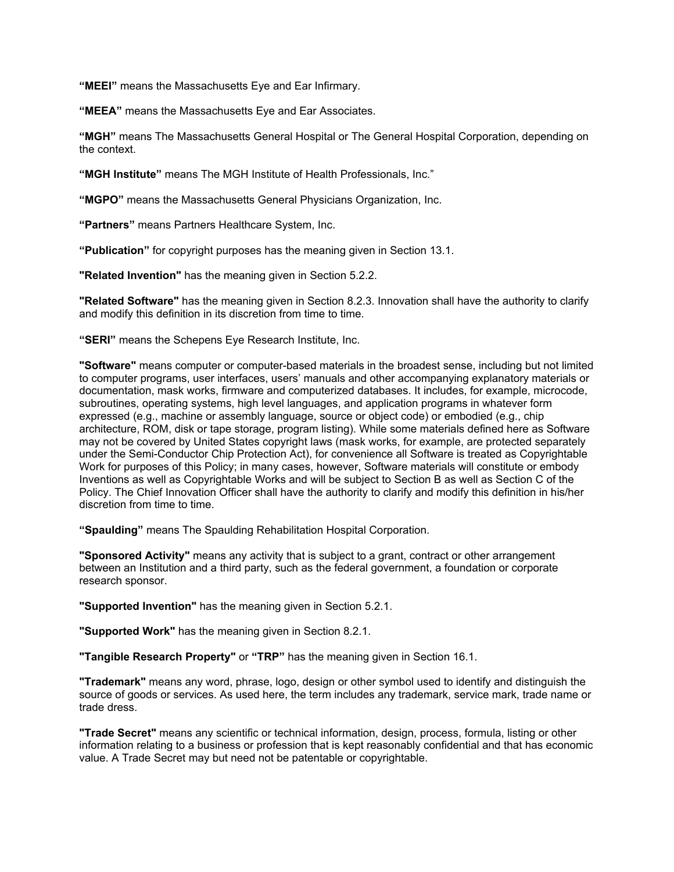**"MEEI"** means the Massachusetts Eye and Ear Infirmary.

**"MEEA"** means the Massachusetts Eye and Ear Associates.

**"MGH"** means The Massachusetts General Hospital or The General Hospital Corporation, depending on the context.

**"MGH Institute"** means The MGH Institute of Health Professionals, Inc."

**"MGPO"** means the Massachusetts General Physicians Organization, Inc.

**"Partners"** means Partners Healthcare System, Inc.

**"Publication"** for copyright purposes has the meaning given in Section 13.1.

**"Related Invention"** has the meaning given in Section 5.2.2.

**"Related Software"** has the meaning given in Section 8.2.3. Innovation shall have the authority to clarify and modify this definition in its discretion from time to time.

**"SERI"** means the Schepens Eye Research Institute, Inc.

**"Software"** means computer or computer-based materials in the broadest sense, including but not limited to computer programs, user interfaces, users' manuals and other accompanying explanatory materials or documentation, mask works, firmware and computerized databases. It includes, for example, microcode, subroutines, operating systems, high level languages, and application programs in whatever form expressed (e.g., machine or assembly language, source or object code) or embodied (e.g., chip architecture, ROM, disk or tape storage, program listing). While some materials defined here as Software may not be covered by United States copyright laws (mask works, for example, are protected separately under the Semi-Conductor Chip Protection Act), for convenience all Software is treated as Copyrightable Work for purposes of this Policy; in many cases, however, Software materials will constitute or embody Inventions as well as Copyrightable Works and will be subject to Section B as well as Section C of the Policy. The Chief Innovation Officer shall have the authority to clarify and modify this definition in his/her discretion from time to time.

**"Spaulding"** means The Spaulding Rehabilitation Hospital Corporation.

**"Sponsored Activity"** means any activity that is subject to a grant, contract or other arrangement between an Institution and a third party, such as the federal government, a foundation or corporate research sponsor.

**"Supported Invention"** has the meaning given in Section 5.2.1.

**"Supported Work"** has the meaning given in Section 8.2.1.

**"Tangible Research Property"** or **"TRP"** has the meaning given in Section 16.1.

**"Trademark"** means any word, phrase, logo, design or other symbol used to identify and distinguish the source of goods or services. As used here, the term includes any trademark, service mark, trade name or trade dress.

**"Trade Secret"** means any scientific or technical information, design, process, formula, listing or other information relating to a business or profession that is kept reasonably confidential and that has economic value. A Trade Secret may but need not be patentable or copyrightable.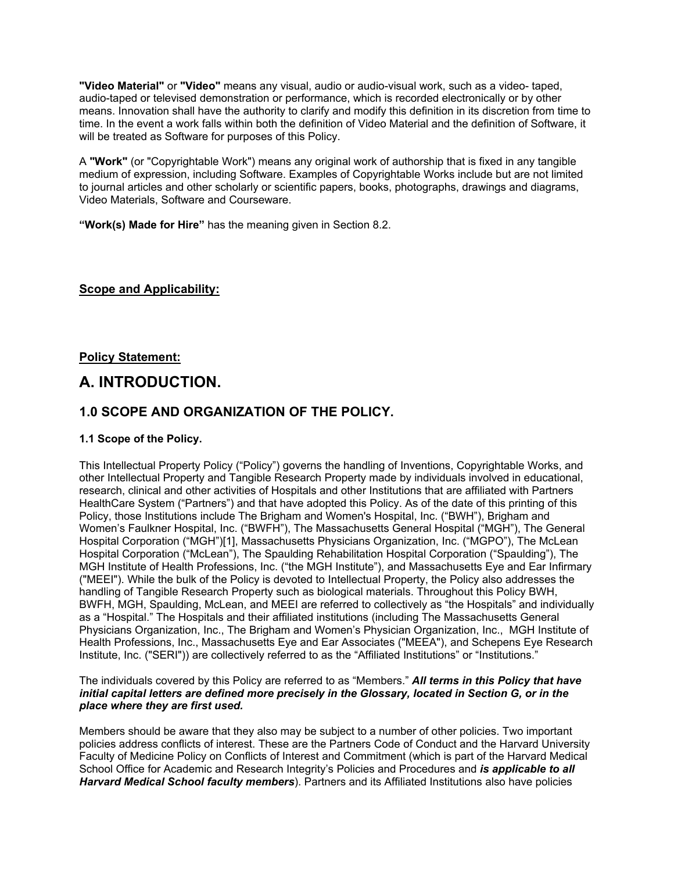**"Video Material"** or **"Video"** means any visual, audio or audio-visual work, such as a video- taped, audio-taped or televised demonstration or performance, which is recorded electronically or by other means. Innovation shall have the authority to clarify and modify this definition in its discretion from time to time. In the event a work falls within both the definition of Video Material and the definition of Software, it will be treated as Software for purposes of this Policy.

A **"Work"** (or "Copyrightable Work") means any original work of authorship that is fixed in any tangible medium of expression, including Software. Examples of Copyrightable Works include but are not limited to journal articles and other scholarly or scientific papers, books, photographs, drawings and diagrams, Video Materials, Software and Courseware.

**"Work(s) Made for Hire"** has the meaning given in Section 8.2.

### **Scope and Applicability:**

**Policy Statement:**

# **A. INTRODUCTION.**

## **1.0 SCOPE AND ORGANIZATION OF THE POLICY.**

### **1.1 Scope of the Policy.**

This Intellectual Property Policy ("Policy") governs the handling of Inventions, Copyrightable Works, and other Intellectual Property and Tangible Research Property made by individuals involved in educational, research, clinical and other activities of Hospitals and other Institutions that are affiliated with Partners HealthCare System ("Partners") and that have adopted this Policy. As of the date of this printing of this Policy, those Institutions include The Brigham and Women's Hospital, Inc. ("BWH"), Brigham and Women's Faulkner Hospital, Inc. ("BWFH"), The Massachusetts General Hospital ("MGH"), The General Hospital Corporation ("MGH")[1], Massachusetts Physicians Organization, Inc. ("MGPO"), The McLean Hospital Corporation ("McLean"), The Spaulding Rehabilitation Hospital Corporation ("Spaulding"), The MGH Institute of Health Professions, Inc. ("the MGH Institute"), and Massachusetts Eye and Ear Infirmary ("MEEI"). While the bulk of the Policy is devoted to Intellectual Property, the Policy also addresses the handling of Tangible Research Property such as biological materials. Throughout this Policy BWH, BWFH, MGH, Spaulding, McLean, and MEEI are referred to collectively as "the Hospitals" and individually as a "Hospital." The Hospitals and their affiliated institutions (including The Massachusetts General Physicians Organization, Inc., The Brigham and Women's Physician Organization, Inc., MGH Institute of Health Professions, Inc., Massachusetts Eye and Ear Associates ("MEEA"), and Schepens Eye Research Institute, Inc. ("SERI")) are collectively referred to as the "Affiliated Institutions" or "Institutions."

### The individuals covered by this Policy are referred to as "Members." *All terms in this Policy that have initial capital letters are defined more precisely in the Glossary, located in Section G, or in the place where they are first used.*

Members should be aware that they also may be subject to a number of other policies. Two important policies address conflicts of interest. These are the Partners Code of Conduct and the Harvard University Faculty of Medicine Policy on Conflicts of Interest and Commitment (which is part of the Harvard Medical School Office for Academic and Research Integrity's Policies and Procedures and *is applicable to all Harvard Medical School faculty members*). Partners and its Affiliated Institutions also have policies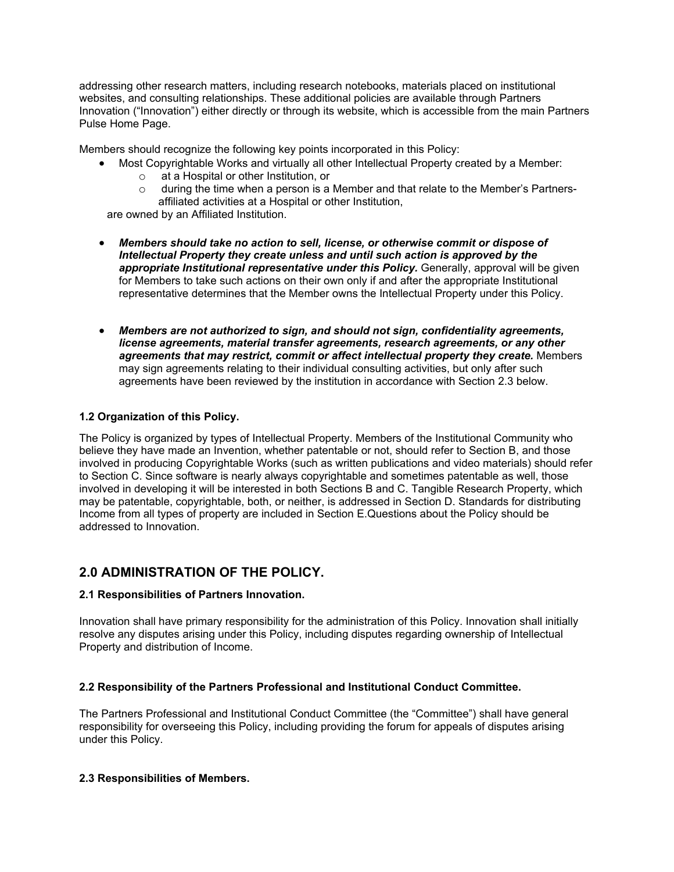addressing other research matters, including research notebooks, materials placed on institutional websites, and consulting relationships. These additional policies are available through Partners Innovation ("Innovation") either directly or through its website, which is accessible from the main Partners Pulse Home Page.

Members should recognize the following key points incorporated in this Policy:

- Most Copyrightable Works and virtually all other Intellectual Property created by a Member:
	- o at a Hospital or other Institution, or
	- $\circ$  during the time when a person is a Member and that relate to the Member's Partnersaffiliated activities at a Hospital or other Institution,

are owned by an Affiliated Institution.

- *Members should take no action to sell, license, or otherwise commit or dispose of Intellectual Property they create unless and until such action is approved by the appropriate Institutional representative under this Policy.* Generally, approval will be given for Members to take such actions on their own only if and after the appropriate Institutional representative determines that the Member owns the Intellectual Property under this Policy.
- *Members are not authorized to sign, and should not sign, confidentiality agreements, license agreements, material transfer agreements, research agreements, or any other agreements that may restrict, commit or affect intellectual property they create.* Members may sign agreements relating to their individual consulting activities, but only after such agreements have been reviewed by the institution in accordance with Section 2.3 below.

### **1.2 Organization of this Policy.**

The Policy is organized by types of Intellectual Property. Members of the Institutional Community who believe they have made an Invention, whether patentable or not, should refer to Section B, and those involved in producing Copyrightable Works (such as written publications and video materials) should refer to Section C. Since software is nearly always copyrightable and sometimes patentable as well, those involved in developing it will be interested in both Sections B and C. Tangible Research Property, which may be patentable, copyrightable, both, or neither, is addressed in Section D. Standards for distributing Income from all types of property are included in Section E.Questions about the Policy should be addressed to Innovation.

# **2.0 ADMINISTRATION OF THE POLICY.**

### **2.1 Responsibilities of Partners Innovation.**

Innovation shall have primary responsibility for the administration of this Policy. Innovation shall initially resolve any disputes arising under this Policy, including disputes regarding ownership of Intellectual Property and distribution of Income.

### **2.2 Responsibility of the Partners Professional and Institutional Conduct Committee.**

The Partners Professional and Institutional Conduct Committee (the "Committee") shall have general responsibility for overseeing this Policy, including providing the forum for appeals of disputes arising under this Policy.

### **2.3 Responsibilities of Members.**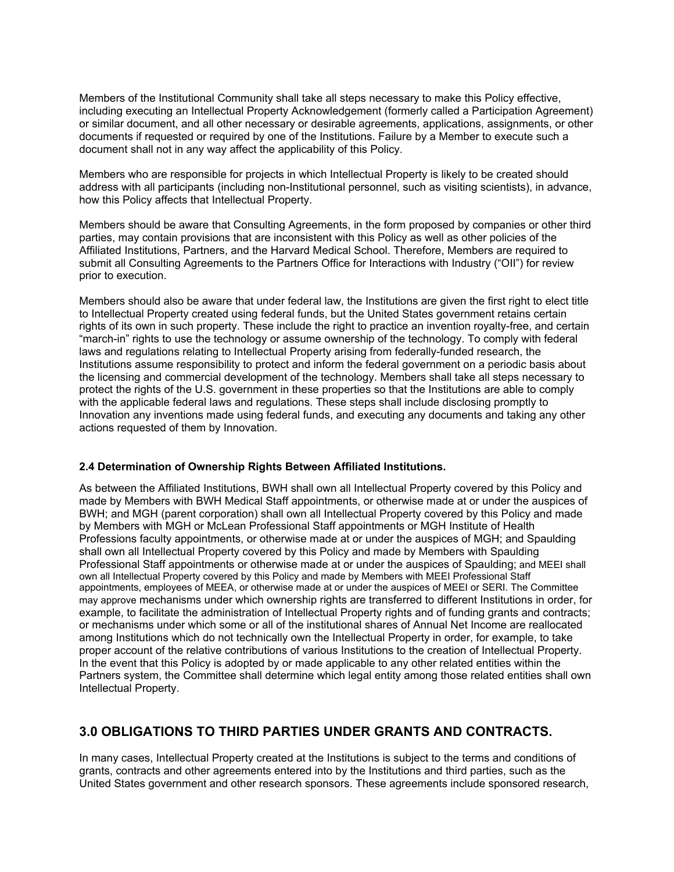Members of the Institutional Community shall take all steps necessary to make this Policy effective, including executing an Intellectual Property Acknowledgement (formerly called a Participation Agreement) or similar document, and all other necessary or desirable agreements, applications, assignments, or other documents if requested or required by one of the Institutions. Failure by a Member to execute such a document shall not in any way affect the applicability of this Policy.

Members who are responsible for projects in which Intellectual Property is likely to be created should address with all participants (including non-Institutional personnel, such as visiting scientists), in advance, how this Policy affects that Intellectual Property.

Members should be aware that Consulting Agreements, in the form proposed by companies or other third parties, may contain provisions that are inconsistent with this Policy as well as other policies of the Affiliated Institutions, Partners, and the Harvard Medical School. Therefore, Members are required to submit all Consulting Agreements to the Partners Office for Interactions with Industry ("OII") for review prior to execution.

Members should also be aware that under federal law, the Institutions are given the first right to elect title to Intellectual Property created using federal funds, but the United States government retains certain rights of its own in such property. These include the right to practice an invention royalty-free, and certain "march-in" rights to use the technology or assume ownership of the technology. To comply with federal laws and regulations relating to Intellectual Property arising from federally-funded research, the Institutions assume responsibility to protect and inform the federal government on a periodic basis about the licensing and commercial development of the technology. Members shall take all steps necessary to protect the rights of the U.S. government in these properties so that the Institutions are able to comply with the applicable federal laws and regulations. These steps shall include disclosing promptly to Innovation any inventions made using federal funds, and executing any documents and taking any other actions requested of them by Innovation.

### **2.4 Determination of Ownership Rights Between Affiliated Institutions.**

As between the Affiliated Institutions, BWH shall own all Intellectual Property covered by this Policy and made by Members with BWH Medical Staff appointments, or otherwise made at or under the auspices of BWH; and MGH (parent corporation) shall own all Intellectual Property covered by this Policy and made by Members with MGH or McLean Professional Staff appointments or MGH Institute of Health Professions faculty appointments, or otherwise made at or under the auspices of MGH; and Spaulding shall own all Intellectual Property covered by this Policy and made by Members with Spaulding Professional Staff appointments or otherwise made at or under the auspices of Spaulding; and MEEI shall own all Intellectual Property covered by this Policy and made by Members with MEEI Professional Staff appointments, employees of MEEA, or otherwise made at or under the auspices of MEEI or SERI. The Committee may approve mechanisms under which ownership rights are transferred to different Institutions in order, for example, to facilitate the administration of Intellectual Property rights and of funding grants and contracts; or mechanisms under which some or all of the institutional shares of Annual Net Income are reallocated among Institutions which do not technically own the Intellectual Property in order, for example, to take proper account of the relative contributions of various Institutions to the creation of Intellectual Property. In the event that this Policy is adopted by or made applicable to any other related entities within the Partners system, the Committee shall determine which legal entity among those related entities shall own Intellectual Property.

# **3.0 OBLIGATIONS TO THIRD PARTIES UNDER GRANTS AND CONTRACTS.**

In many cases, Intellectual Property created at the Institutions is subject to the terms and conditions of grants, contracts and other agreements entered into by the Institutions and third parties, such as the United States government and other research sponsors. These agreements include sponsored research,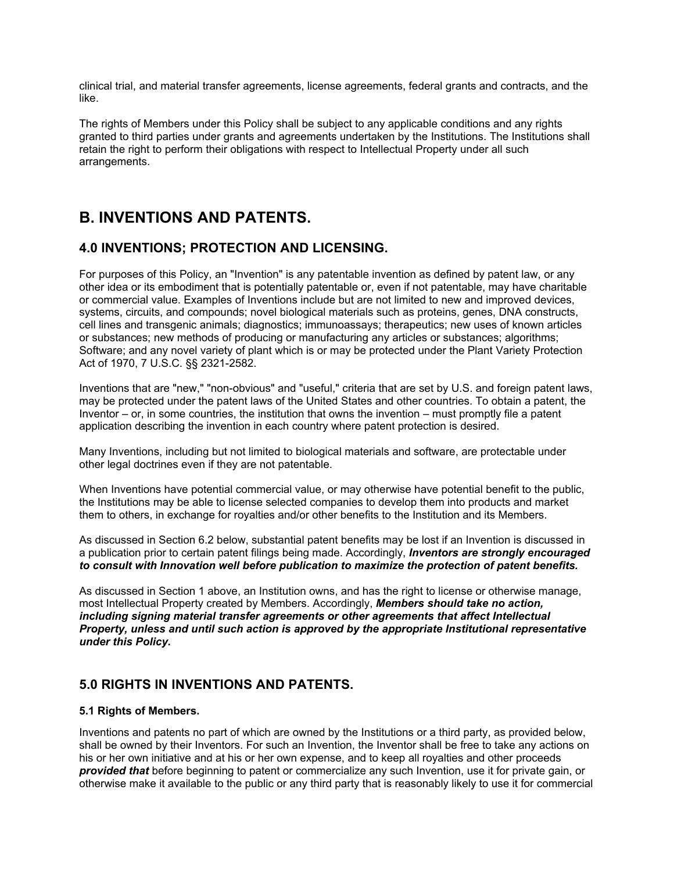clinical trial, and material transfer agreements, license agreements, federal grants and contracts, and the like.

The rights of Members under this Policy shall be subject to any applicable conditions and any rights granted to third parties under grants and agreements undertaken by the Institutions. The Institutions shall retain the right to perform their obligations with respect to Intellectual Property under all such arrangements.

# **B. INVENTIONS AND PATENTS.**

# **4.0 INVENTIONS; PROTECTION AND LICENSING.**

For purposes of this Policy, an "Invention" is any patentable invention as defined by patent law, or any other idea or its embodiment that is potentially patentable or, even if not patentable, may have charitable or commercial value. Examples of Inventions include but are not limited to new and improved devices, systems, circuits, and compounds; novel biological materials such as proteins, genes, DNA constructs, cell lines and transgenic animals; diagnostics; immunoassays; therapeutics; new uses of known articles or substances; new methods of producing or manufacturing any articles or substances; algorithms; Software; and any novel variety of plant which is or may be protected under the Plant Variety Protection Act of 1970, 7 U.S.C. §§ 2321-2582.

Inventions that are "new," "non-obvious" and "useful," criteria that are set by U.S. and foreign patent laws, may be protected under the patent laws of the United States and other countries. To obtain a patent, the Inventor – or, in some countries, the institution that owns the invention – must promptly file a patent application describing the invention in each country where patent protection is desired.

Many Inventions, including but not limited to biological materials and software, are protectable under other legal doctrines even if they are not patentable.

When Inventions have potential commercial value, or may otherwise have potential benefit to the public, the Institutions may be able to license selected companies to develop them into products and market them to others, in exchange for royalties and/or other benefits to the Institution and its Members.

As discussed in Section 6.2 below, substantial patent benefits may be lost if an Invention is discussed in a publication prior to certain patent filings being made. Accordingly, *Inventors are strongly encouraged to consult with Innovation well before publication to maximize the protection of patent benefits.*

As discussed in Section 1 above, an Institution owns, and has the right to license or otherwise manage, most Intellectual Property created by Members. Accordingly, *Members should take no action, including signing material transfer agreements or other agreements that affect Intellectual Property, unless and until such action is approved by the appropriate Institutional representative under this Policy.*

# **5.0 RIGHTS IN INVENTIONS AND PATENTS.**

### **5.1 Rights of Members.**

Inventions and patents no part of which are owned by the Institutions or a third party, as provided below, shall be owned by their Inventors. For such an Invention, the Inventor shall be free to take any actions on his or her own initiative and at his or her own expense, and to keep all royalties and other proceeds *provided that* before beginning to patent or commercialize any such Invention, use it for private gain, or otherwise make it available to the public or any third party that is reasonably likely to use it for commercial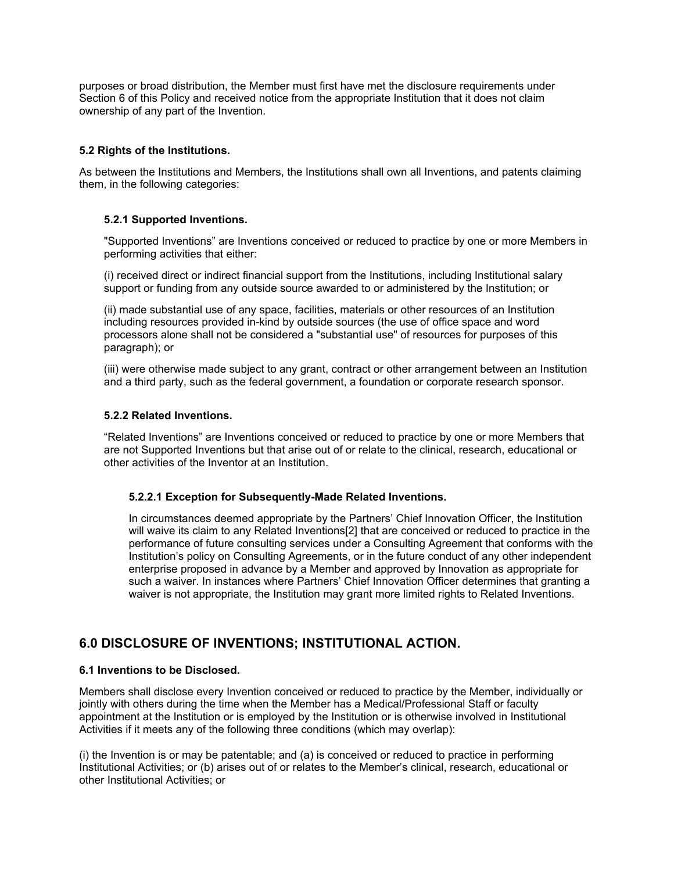purposes or broad distribution, the Member must first have met the disclosure requirements under Section 6 of this Policy and received notice from the appropriate Institution that it does not claim ownership of any part of the Invention.

### **5.2 Rights of the Institutions.**

As between the Institutions and Members, the Institutions shall own all Inventions, and patents claiming them, in the following categories:

### **5.2.1 Supported Inventions.**

"Supported Inventions" are Inventions conceived or reduced to practice by one or more Members in performing activities that either:

(i) received direct or indirect financial support from the Institutions, including Institutional salary support or funding from any outside source awarded to or administered by the Institution; or

(ii) made substantial use of any space, facilities, materials or other resources of an Institution including resources provided in-kind by outside sources (the use of office space and word processors alone shall not be considered a "substantial use" of resources for purposes of this paragraph); or

(iii) were otherwise made subject to any grant, contract or other arrangement between an Institution and a third party, such as the federal government, a foundation or corporate research sponsor.

### **5.2.2 Related Inventions.**

"Related Inventions" are Inventions conceived or reduced to practice by one or more Members that are not Supported Inventions but that arise out of or relate to the clinical, research, educational or other activities of the Inventor at an Institution.

### **5.2.2.1 Exception for Subsequently-Made Related Inventions.**

In circumstances deemed appropriate by the Partners' Chief Innovation Officer, the Institution will waive its claim to any Related Inventions[2] that are conceived or reduced to practice in the performance of future consulting services under a Consulting Agreement that conforms with the Institution's policy on Consulting Agreements, or in the future conduct of any other independent enterprise proposed in advance by a Member and approved by Innovation as appropriate for such a waiver. In instances where Partners' Chief Innovation Officer determines that granting a waiver is not appropriate, the Institution may grant more limited rights to Related Inventions.

# **6.0 DISCLOSURE OF INVENTIONS; INSTITUTIONAL ACTION.**

### **6.1 Inventions to be Disclosed.**

Members shall disclose every Invention conceived or reduced to practice by the Member, individually or jointly with others during the time when the Member has a Medical/Professional Staff or faculty appointment at the Institution or is employed by the Institution or is otherwise involved in Institutional Activities if it meets any of the following three conditions (which may overlap):

(i) the Invention is or may be patentable; and (a) is conceived or reduced to practice in performing Institutional Activities; or (b) arises out of or relates to the Member's clinical, research, educational or other Institutional Activities; or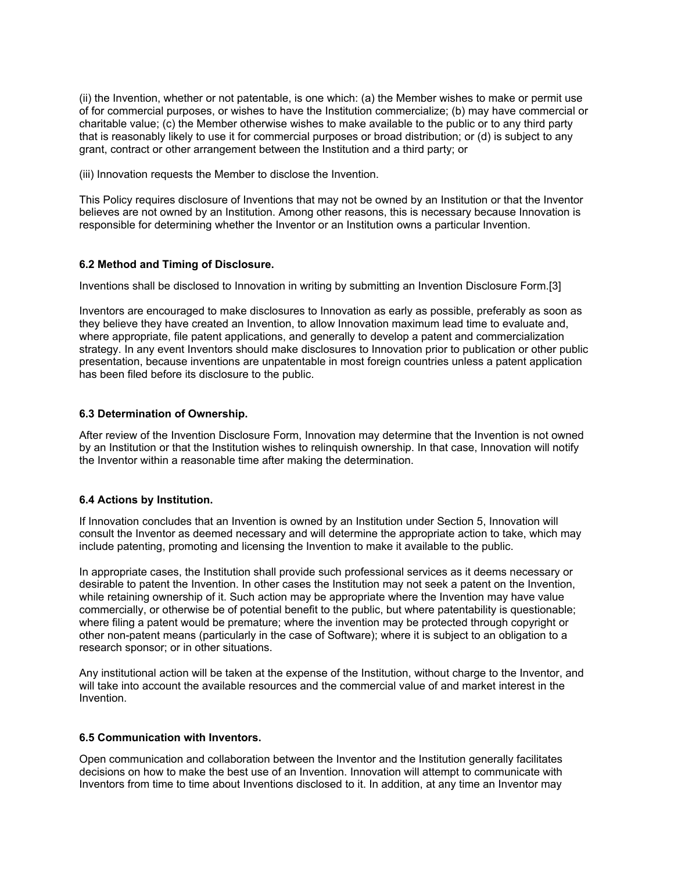(ii) the Invention, whether or not patentable, is one which: (a) the Member wishes to make or permit use of for commercial purposes, or wishes to have the Institution commercialize; (b) may have commercial or charitable value; (c) the Member otherwise wishes to make available to the public or to any third party that is reasonably likely to use it for commercial purposes or broad distribution; or (d) is subject to any grant, contract or other arrangement between the Institution and a third party; or

(iii) Innovation requests the Member to disclose the Invention.

This Policy requires disclosure of Inventions that may not be owned by an Institution or that the Inventor believes are not owned by an Institution. Among other reasons, this is necessary because Innovation is responsible for determining whether the Inventor or an Institution owns a particular Invention.

### **6.2 Method and Timing of Disclosure.**

Inventions shall be disclosed to Innovation in writing by submitting an Invention Disclosure Form.[3]

Inventors are encouraged to make disclosures to Innovation as early as possible, preferably as soon as they believe they have created an Invention, to allow Innovation maximum lead time to evaluate and, where appropriate, file patent applications, and generally to develop a patent and commercialization strategy. In any event Inventors should make disclosures to Innovation prior to publication or other public presentation, because inventions are unpatentable in most foreign countries unless a patent application has been filed before its disclosure to the public.

### **6.3 Determination of Ownership.**

After review of the Invention Disclosure Form, Innovation may determine that the Invention is not owned by an Institution or that the Institution wishes to relinquish ownership. In that case, Innovation will notify the Inventor within a reasonable time after making the determination.

### **6.4 Actions by Institution.**

If Innovation concludes that an Invention is owned by an Institution under Section 5, Innovation will consult the Inventor as deemed necessary and will determine the appropriate action to take, which may include patenting, promoting and licensing the Invention to make it available to the public.

In appropriate cases, the Institution shall provide such professional services as it deems necessary or desirable to patent the Invention. In other cases the Institution may not seek a patent on the Invention, while retaining ownership of it. Such action may be appropriate where the Invention may have value commercially, or otherwise be of potential benefit to the public, but where patentability is questionable; where filing a patent would be premature; where the invention may be protected through copyright or other non-patent means (particularly in the case of Software); where it is subject to an obligation to a research sponsor; or in other situations.

Any institutional action will be taken at the expense of the Institution, without charge to the Inventor, and will take into account the available resources and the commercial value of and market interest in the Invention.

### **6.5 Communication with Inventors.**

Open communication and collaboration between the Inventor and the Institution generally facilitates decisions on how to make the best use of an Invention. Innovation will attempt to communicate with Inventors from time to time about Inventions disclosed to it. In addition, at any time an Inventor may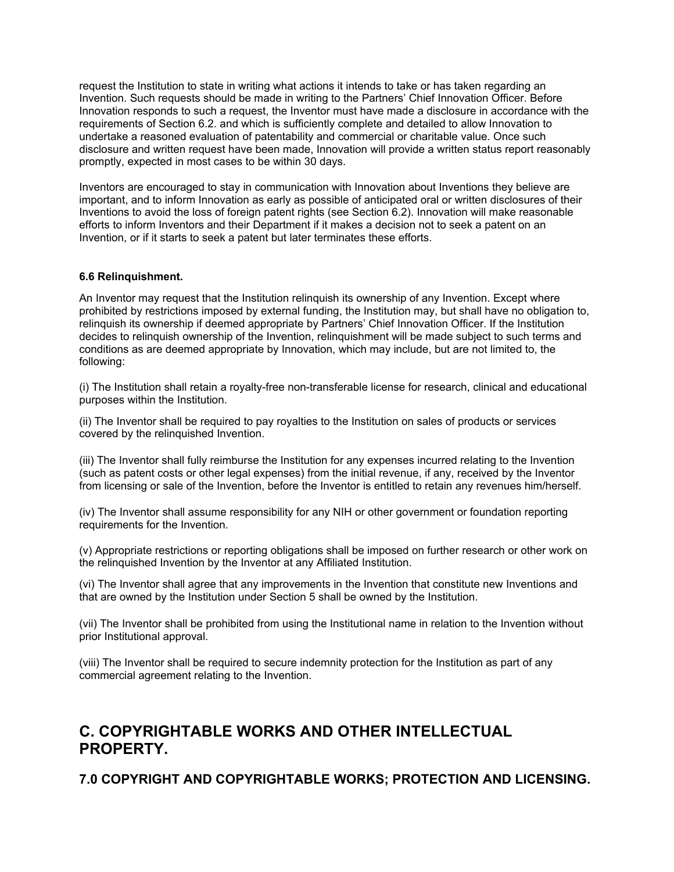request the Institution to state in writing what actions it intends to take or has taken regarding an Invention. Such requests should be made in writing to the Partners' Chief Innovation Officer. Before Innovation responds to such a request, the Inventor must have made a disclosure in accordance with the requirements of Section 6.2. and which is sufficiently complete and detailed to allow Innovation to undertake a reasoned evaluation of patentability and commercial or charitable value. Once such disclosure and written request have been made, Innovation will provide a written status report reasonably promptly, expected in most cases to be within 30 days.

Inventors are encouraged to stay in communication with Innovation about Inventions they believe are important, and to inform Innovation as early as possible of anticipated oral or written disclosures of their Inventions to avoid the loss of foreign patent rights (see Section 6.2). Innovation will make reasonable efforts to inform Inventors and their Department if it makes a decision not to seek a patent on an Invention, or if it starts to seek a patent but later terminates these efforts.

### **6.6 Relinquishment.**

An Inventor may request that the Institution relinquish its ownership of any Invention. Except where prohibited by restrictions imposed by external funding, the Institution may, but shall have no obligation to, relinquish its ownership if deemed appropriate by Partners' Chief Innovation Officer. If the Institution decides to relinquish ownership of the Invention, relinquishment will be made subject to such terms and conditions as are deemed appropriate by Innovation, which may include, but are not limited to, the following:

(i) The Institution shall retain a royalty-free non-transferable license for research, clinical and educational purposes within the Institution.

(ii) The Inventor shall be required to pay royalties to the Institution on sales of products or services covered by the relinquished Invention.

(iii) The Inventor shall fully reimburse the Institution for any expenses incurred relating to the Invention (such as patent costs or other legal expenses) from the initial revenue, if any, received by the Inventor from licensing or sale of the Invention, before the Inventor is entitled to retain any revenues him/herself.

(iv) The Inventor shall assume responsibility for any NIH or other government or foundation reporting requirements for the Invention.

(v) Appropriate restrictions or reporting obligations shall be imposed on further research or other work on the relinquished Invention by the Inventor at any Affiliated Institution.

(vi) The Inventor shall agree that any improvements in the Invention that constitute new Inventions and that are owned by the Institution under Section 5 shall be owned by the Institution.

(vii) The Inventor shall be prohibited from using the Institutional name in relation to the Invention without prior Institutional approval.

(viii) The Inventor shall be required to secure indemnity protection for the Institution as part of any commercial agreement relating to the Invention.

# **C. COPYRIGHTABLE WORKS AND OTHER INTELLECTUAL PROPERTY.**

**7.0 COPYRIGHT AND COPYRIGHTABLE WORKS; PROTECTION AND LICENSING.**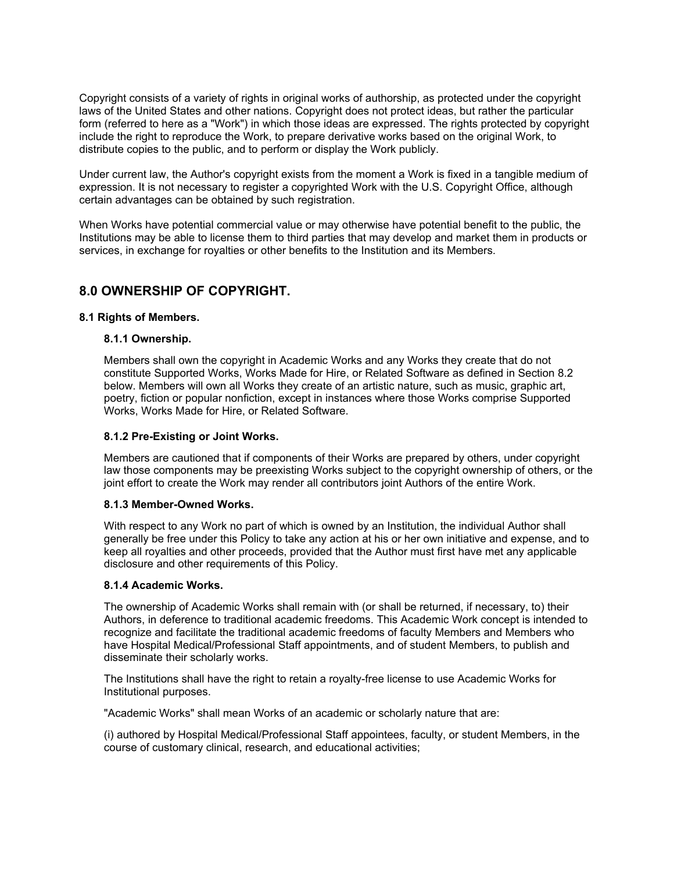Copyright consists of a variety of rights in original works of authorship, as protected under the copyright laws of the United States and other nations. Copyright does not protect ideas, but rather the particular form (referred to here as a "Work") in which those ideas are expressed. The rights protected by copyright include the right to reproduce the Work, to prepare derivative works based on the original Work, to distribute copies to the public, and to perform or display the Work publicly.

Under current law, the Author's copyright exists from the moment a Work is fixed in a tangible medium of expression. It is not necessary to register a copyrighted Work with the U.S. Copyright Office, although certain advantages can be obtained by such registration.

When Works have potential commercial value or may otherwise have potential benefit to the public, the Institutions may be able to license them to third parties that may develop and market them in products or services, in exchange for royalties or other benefits to the Institution and its Members.

# **8.0 OWNERSHIP OF COPYRIGHT.**

### **8.1 Rights of Members.**

### **8.1.1 Ownership.**

Members shall own the copyright in Academic Works and any Works they create that do not constitute Supported Works, Works Made for Hire, or Related Software as defined in Section 8.2 below. Members will own all Works they create of an artistic nature, such as music, graphic art, poetry, fiction or popular nonfiction, except in instances where those Works comprise Supported Works, Works Made for Hire, or Related Software.

### **8.1.2 Pre-Existing or Joint Works.**

Members are cautioned that if components of their Works are prepared by others, under copyright law those components may be preexisting Works subject to the copyright ownership of others, or the joint effort to create the Work may render all contributors joint Authors of the entire Work.

### **8.1.3 Member-Owned Works.**

With respect to any Work no part of which is owned by an Institution, the individual Author shall generally be free under this Policy to take any action at his or her own initiative and expense, and to keep all royalties and other proceeds, provided that the Author must first have met any applicable disclosure and other requirements of this Policy.

### **8.1.4 Academic Works.**

The ownership of Academic Works shall remain with (or shall be returned, if necessary, to) their Authors, in deference to traditional academic freedoms. This Academic Work concept is intended to recognize and facilitate the traditional academic freedoms of faculty Members and Members who have Hospital Medical/Professional Staff appointments, and of student Members, to publish and disseminate their scholarly works.

The Institutions shall have the right to retain a royalty-free license to use Academic Works for Institutional purposes.

"Academic Works" shall mean Works of an academic or scholarly nature that are:

(i) authored by Hospital Medical/Professional Staff appointees, faculty, or student Members, in the course of customary clinical, research, and educational activities;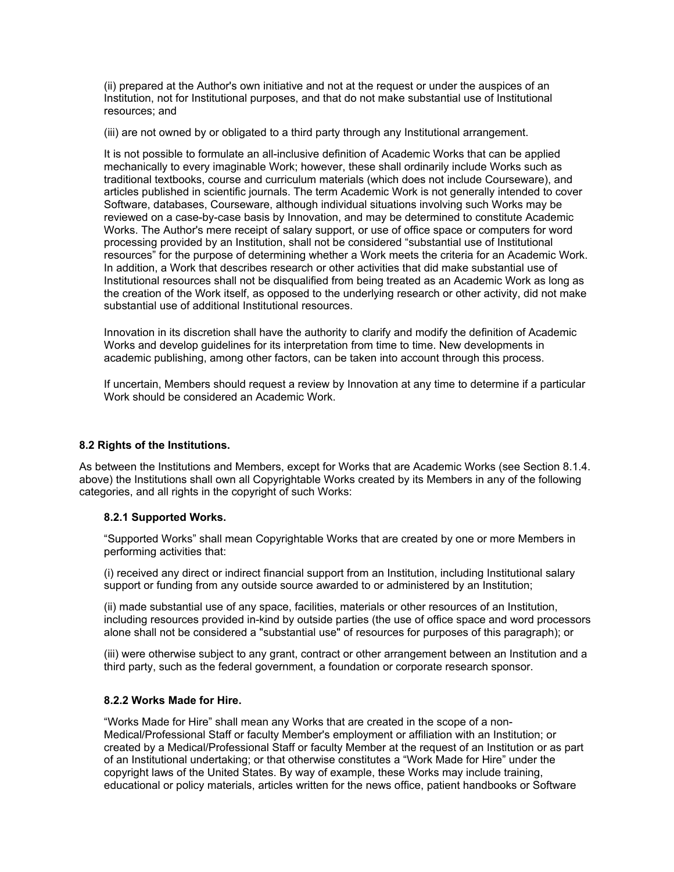(ii) prepared at the Author's own initiative and not at the request or under the auspices of an Institution, not for Institutional purposes, and that do not make substantial use of Institutional resources; and

(iii) are not owned by or obligated to a third party through any Institutional arrangement.

It is not possible to formulate an all-inclusive definition of Academic Works that can be applied mechanically to every imaginable Work; however, these shall ordinarily include Works such as traditional textbooks, course and curriculum materials (which does not include Courseware), and articles published in scientific journals. The term Academic Work is not generally intended to cover Software, databases, Courseware, although individual situations involving such Works may be reviewed on a case-by-case basis by Innovation, and may be determined to constitute Academic Works. The Author's mere receipt of salary support, or use of office space or computers for word processing provided by an Institution, shall not be considered "substantial use of Institutional resources" for the purpose of determining whether a Work meets the criteria for an Academic Work. In addition, a Work that describes research or other activities that did make substantial use of Institutional resources shall not be disqualified from being treated as an Academic Work as long as the creation of the Work itself, as opposed to the underlying research or other activity, did not make substantial use of additional Institutional resources.

Innovation in its discretion shall have the authority to clarify and modify the definition of Academic Works and develop guidelines for its interpretation from time to time. New developments in academic publishing, among other factors, can be taken into account through this process.

If uncertain, Members should request a review by Innovation at any time to determine if a particular Work should be considered an Academic Work.

### **8.2 Rights of the Institutions.**

As between the Institutions and Members, except for Works that are Academic Works (see Section 8.1.4. above) the Institutions shall own all Copyrightable Works created by its Members in any of the following categories, and all rights in the copyright of such Works:

### **8.2.1 Supported Works.**

"Supported Works" shall mean Copyrightable Works that are created by one or more Members in performing activities that:

(i) received any direct or indirect financial support from an Institution, including Institutional salary support or funding from any outside source awarded to or administered by an Institution;

(ii) made substantial use of any space, facilities, materials or other resources of an Institution, including resources provided in-kind by outside parties (the use of office space and word processors alone shall not be considered a "substantial use" of resources for purposes of this paragraph); or

(iii) were otherwise subject to any grant, contract or other arrangement between an Institution and a third party, such as the federal government, a foundation or corporate research sponsor.

### **8.2.2 Works Made for Hire.**

"Works Made for Hire" shall mean any Works that are created in the scope of a non-Medical/Professional Staff or faculty Member's employment or affiliation with an Institution; or created by a Medical/Professional Staff or faculty Member at the request of an Institution or as part of an Institutional undertaking; or that otherwise constitutes a "Work Made for Hire" under the copyright laws of the United States. By way of example, these Works may include training, educational or policy materials, articles written for the news office, patient handbooks or Software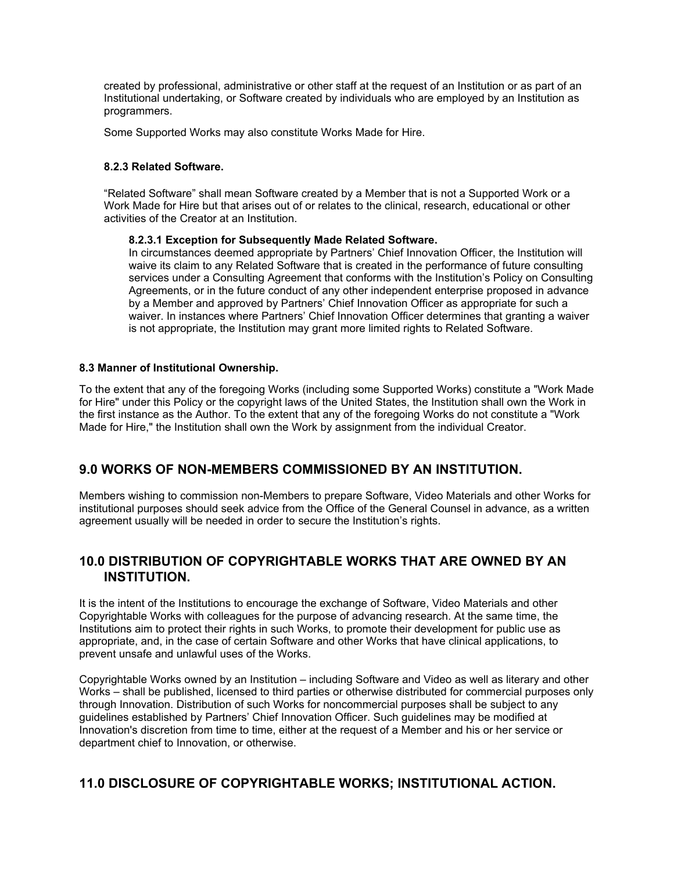created by professional, administrative or other staff at the request of an Institution or as part of an Institutional undertaking, or Software created by individuals who are employed by an Institution as programmers.

Some Supported Works may also constitute Works Made for Hire.

### **8.2.3 Related Software.**

"Related Software" shall mean Software created by a Member that is not a Supported Work or a Work Made for Hire but that arises out of or relates to the clinical, research, educational or other activities of the Creator at an Institution.

### **8.2.3.1 Exception for Subsequently Made Related Software.**

In circumstances deemed appropriate by Partners' Chief Innovation Officer, the Institution will waive its claim to any Related Software that is created in the performance of future consulting services under a Consulting Agreement that conforms with the Institution's Policy on Consulting Agreements, or in the future conduct of any other independent enterprise proposed in advance by a Member and approved by Partners' Chief Innovation Officer as appropriate for such a waiver. In instances where Partners' Chief Innovation Officer determines that granting a waiver is not appropriate, the Institution may grant more limited rights to Related Software.

### **8.3 Manner of Institutional Ownership.**

To the extent that any of the foregoing Works (including some Supported Works) constitute a "Work Made for Hire" under this Policy or the copyright laws of the United States, the Institution shall own the Work in the first instance as the Author. To the extent that any of the foregoing Works do not constitute a "Work Made for Hire," the Institution shall own the Work by assignment from the individual Creator.

### **9.0 WORKS OF NON-MEMBERS COMMISSIONED BY AN INSTITUTION.**

Members wishing to commission non-Members to prepare Software, Video Materials and other Works for institutional purposes should seek advice from the Office of the General Counsel in advance, as a written agreement usually will be needed in order to secure the Institution's rights.

## **10.0 DISTRIBUTION OF COPYRIGHTABLE WORKS THAT ARE OWNED BY AN INSTITUTION.**

It is the intent of the Institutions to encourage the exchange of Software, Video Materials and other Copyrightable Works with colleagues for the purpose of advancing research. At the same time, the Institutions aim to protect their rights in such Works, to promote their development for public use as appropriate, and, in the case of certain Software and other Works that have clinical applications, to prevent unsafe and unlawful uses of the Works.

Copyrightable Works owned by an Institution – including Software and Video as well as literary and other Works – shall be published, licensed to third parties or otherwise distributed for commercial purposes only through Innovation. Distribution of such Works for noncommercial purposes shall be subject to any guidelines established by Partners' Chief Innovation Officer. Such guidelines may be modified at Innovation's discretion from time to time, either at the request of a Member and his or her service or department chief to Innovation, or otherwise.

# **11.0 DISCLOSURE OF COPYRIGHTABLE WORKS; INSTITUTIONAL ACTION.**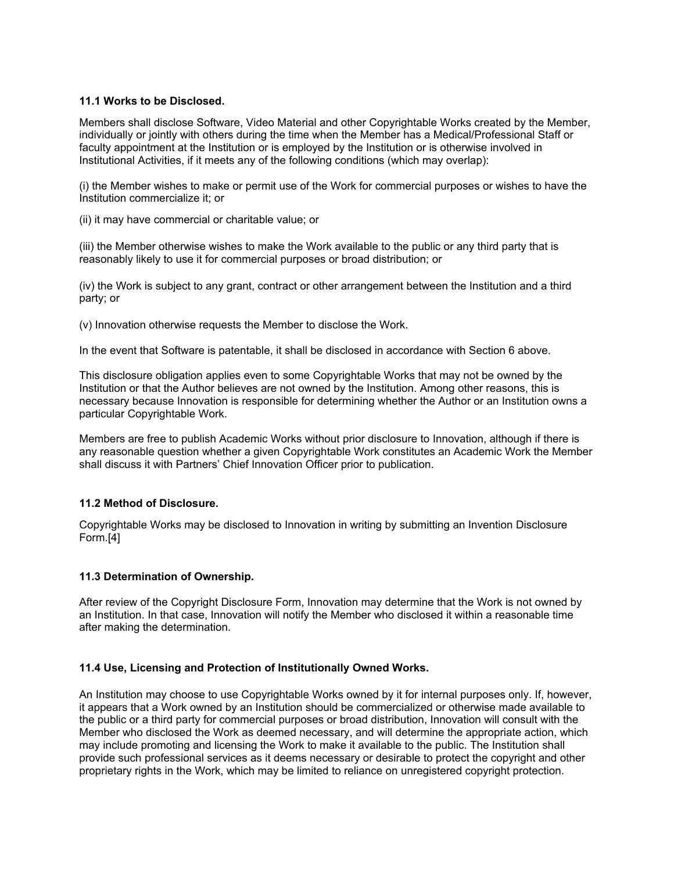### **11.1 Works to be Disclosed.**

Members shall disclose Software, Video Material and other Copyrightable Works created by the Member, individually or jointly with others during the time when the Member has a Medical/Professional Staff or faculty appointment at the Institution or is employed by the Institution or is otherwise involved in Institutional Activities, if it meets any of the following conditions (which may overlap):

(i) the Member wishes to make or permit use of the Work for commercial purposes or wishes to have the Institution commercialize it; or

(ii) it may have commercial or charitable value; or

(iii) the Member otherwise wishes to make the Work available to the public or any third party that is reasonably likely to use it for commercial purposes or broad distribution; or

(iv) the Work is subject to any grant, contract or other arrangement between the Institution and a third party; or

(v) Innovation otherwise requests the Member to disclose the Work.

In the event that Software is patentable, it shall be disclosed in accordance with Section 6 above.

This disclosure obligation applies even to some Copyrightable Works that may not be owned by the Institution or that the Author believes are not owned by the Institution. Among other reasons, this is necessary because Innovation is responsible for determining whether the Author or an Institution owns a particular Copyrightable Work.

Members are free to publish Academic Works without prior disclosure to Innovation, although if there is any reasonable question whether a given Copyrightable Work constitutes an Academic Work the Member shall discuss it with Partners' Chief Innovation Officer prior to publication.

### **11.2 Method of Disclosure.**

Copyrightable Works may be disclosed to Innovation in writing by submitting an Invention Disclosure Form.[4]

### **11.3 Determination of Ownership.**

After review of the Copyright Disclosure Form, Innovation may determine that the Work is not owned by an Institution. In that case, Innovation will notify the Member who disclosed it within a reasonable time after making the determination.

### **11.4 Use, Licensing and Protection of Institutionally Owned Works.**

An Institution may choose to use Copyrightable Works owned by it for internal purposes only. If, however, it appears that a Work owned by an Institution should be commercialized or otherwise made available to the public or a third party for commercial purposes or broad distribution, Innovation will consult with the Member who disclosed the Work as deemed necessary, and will determine the appropriate action, which may include promoting and licensing the Work to make it available to the public. The Institution shall provide such professional services as it deems necessary or desirable to protect the copyright and other proprietary rights in the Work, which may be limited to reliance on unregistered copyright protection.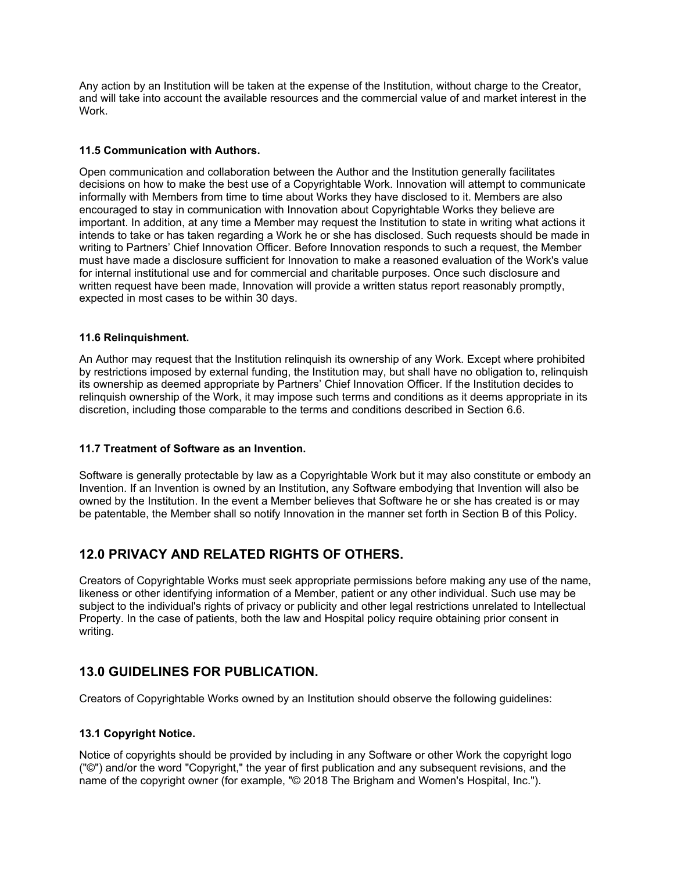Any action by an Institution will be taken at the expense of the Institution, without charge to the Creator, and will take into account the available resources and the commercial value of and market interest in the Work.

### **11.5 Communication with Authors.**

Open communication and collaboration between the Author and the Institution generally facilitates decisions on how to make the best use of a Copyrightable Work. Innovation will attempt to communicate informally with Members from time to time about Works they have disclosed to it. Members are also encouraged to stay in communication with Innovation about Copyrightable Works they believe are important. In addition, at any time a Member may request the Institution to state in writing what actions it intends to take or has taken regarding a Work he or she has disclosed. Such requests should be made in writing to Partners' Chief Innovation Officer. Before Innovation responds to such a request, the Member must have made a disclosure sufficient for Innovation to make a reasoned evaluation of the Work's value for internal institutional use and for commercial and charitable purposes. Once such disclosure and written request have been made, Innovation will provide a written status report reasonably promptly, expected in most cases to be within 30 days.

### **11.6 Relinquishment.**

An Author may request that the Institution relinquish its ownership of any Work. Except where prohibited by restrictions imposed by external funding, the Institution may, but shall have no obligation to, relinquish its ownership as deemed appropriate by Partners' Chief Innovation Officer. If the Institution decides to relinquish ownership of the Work, it may impose such terms and conditions as it deems appropriate in its discretion, including those comparable to the terms and conditions described in Section 6.6.

### **11.7 Treatment of Software as an Invention.**

Software is generally protectable by law as a Copyrightable Work but it may also constitute or embody an Invention. If an Invention is owned by an Institution, any Software embodying that Invention will also be owned by the Institution. In the event a Member believes that Software he or she has created is or may be patentable, the Member shall so notify Innovation in the manner set forth in Section B of this Policy.

# **12.0 PRIVACY AND RELATED RIGHTS OF OTHERS.**

Creators of Copyrightable Works must seek appropriate permissions before making any use of the name, likeness or other identifying information of a Member, patient or any other individual. Such use may be subject to the individual's rights of privacy or publicity and other legal restrictions unrelated to Intellectual Property. In the case of patients, both the law and Hospital policy require obtaining prior consent in writing.

# **13.0 GUIDELINES FOR PUBLICATION.**

Creators of Copyrightable Works owned by an Institution should observe the following guidelines:

### **13.1 Copyright Notice.**

Notice of copyrights should be provided by including in any Software or other Work the copyright logo ("©") and/or the word "Copyright," the year of first publication and any subsequent revisions, and the name of the copyright owner (for example, "© 2018 The Brigham and Women's Hospital, Inc.").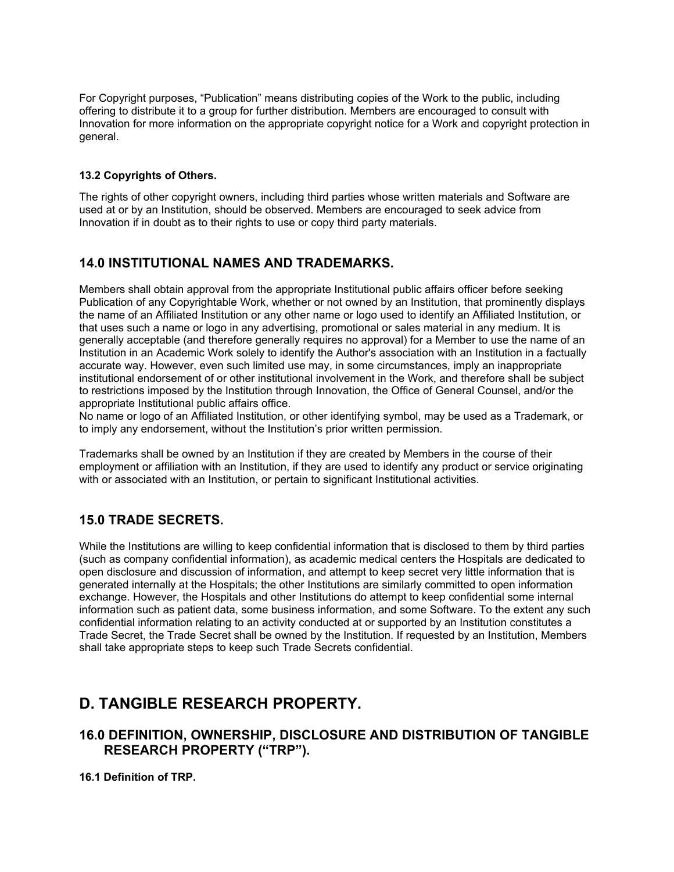For Copyright purposes, "Publication" means distributing copies of the Work to the public, including offering to distribute it to a group for further distribution. Members are encouraged to consult with Innovation for more information on the appropriate copyright notice for a Work and copyright protection in general.

### **13.2 Copyrights of Others.**

The rights of other copyright owners, including third parties whose written materials and Software are used at or by an Institution, should be observed. Members are encouraged to seek advice from Innovation if in doubt as to their rights to use or copy third party materials.

## **14.0 INSTITUTIONAL NAMES AND TRADEMARKS.**

Members shall obtain approval from the appropriate Institutional public affairs officer before seeking Publication of any Copyrightable Work, whether or not owned by an Institution, that prominently displays the name of an Affiliated Institution or any other name or logo used to identify an Affiliated Institution, or that uses such a name or logo in any advertising, promotional or sales material in any medium. It is generally acceptable (and therefore generally requires no approval) for a Member to use the name of an Institution in an Academic Work solely to identify the Author's association with an Institution in a factually accurate way. However, even such limited use may, in some circumstances, imply an inappropriate institutional endorsement of or other institutional involvement in the Work, and therefore shall be subject to restrictions imposed by the Institution through Innovation, the Office of General Counsel, and/or the appropriate Institutional public affairs office.

No name or logo of an Affiliated Institution, or other identifying symbol, may be used as a Trademark, or to imply any endorsement, without the Institution's prior written permission.

Trademarks shall be owned by an Institution if they are created by Members in the course of their employment or affiliation with an Institution, if they are used to identify any product or service originating with or associated with an Institution, or pertain to significant Institutional activities.

# **15.0 TRADE SECRETS.**

While the Institutions are willing to keep confidential information that is disclosed to them by third parties (such as company confidential information), as academic medical centers the Hospitals are dedicated to open disclosure and discussion of information, and attempt to keep secret very little information that is generated internally at the Hospitals; the other Institutions are similarly committed to open information exchange. However, the Hospitals and other Institutions do attempt to keep confidential some internal information such as patient data, some business information, and some Software. To the extent any such confidential information relating to an activity conducted at or supported by an Institution constitutes a Trade Secret, the Trade Secret shall be owned by the Institution. If requested by an Institution, Members shall take appropriate steps to keep such Trade Secrets confidential.

# **D. TANGIBLE RESEARCH PROPERTY.**

### **16.0 DEFINITION, OWNERSHIP, DISCLOSURE AND DISTRIBUTION OF TANGIBLE RESEARCH PROPERTY ("TRP").**

**16.1 Definition of TRP.**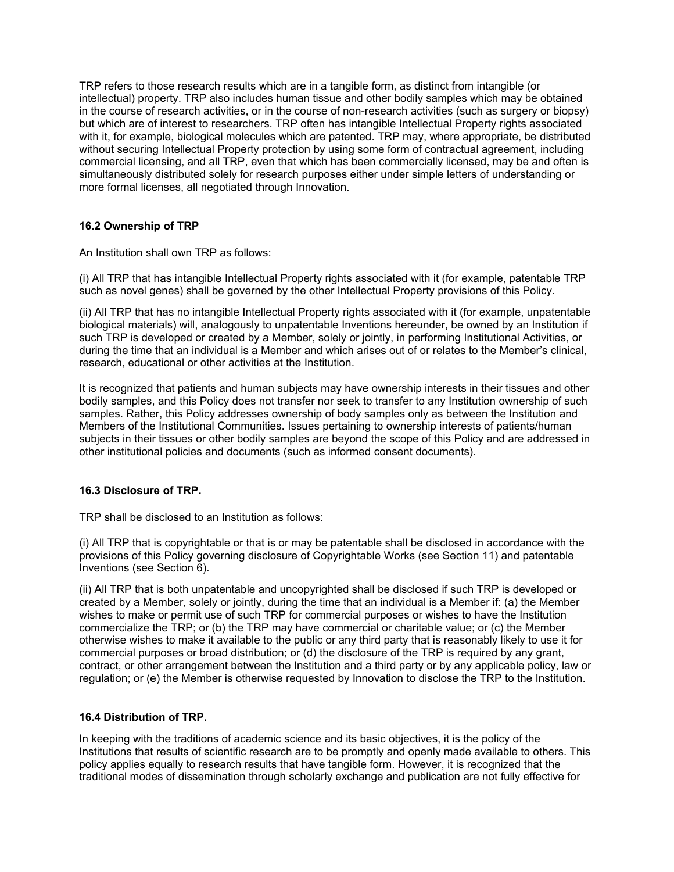TRP refers to those research results which are in a tangible form, as distinct from intangible (or intellectual) property. TRP also includes human tissue and other bodily samples which may be obtained in the course of research activities, or in the course of non-research activities (such as surgery or biopsy) but which are of interest to researchers. TRP often has intangible Intellectual Property rights associated with it, for example, biological molecules which are patented. TRP may, where appropriate, be distributed without securing Intellectual Property protection by using some form of contractual agreement, including commercial licensing, and all TRP, even that which has been commercially licensed, may be and often is simultaneously distributed solely for research purposes either under simple letters of understanding or more formal licenses, all negotiated through Innovation.

### **16.2 Ownership of TRP**

An Institution shall own TRP as follows:

(i) All TRP that has intangible Intellectual Property rights associated with it (for example, patentable TRP such as novel genes) shall be governed by the other Intellectual Property provisions of this Policy.

(ii) All TRP that has no intangible Intellectual Property rights associated with it (for example, unpatentable biological materials) will, analogously to unpatentable Inventions hereunder, be owned by an Institution if such TRP is developed or created by a Member, solely or jointly, in performing Institutional Activities, or during the time that an individual is a Member and which arises out of or relates to the Member's clinical, research, educational or other activities at the Institution.

It is recognized that patients and human subjects may have ownership interests in their tissues and other bodily samples, and this Policy does not transfer nor seek to transfer to any Institution ownership of such samples. Rather, this Policy addresses ownership of body samples only as between the Institution and Members of the Institutional Communities. Issues pertaining to ownership interests of patients/human subjects in their tissues or other bodily samples are beyond the scope of this Policy and are addressed in other institutional policies and documents (such as informed consent documents).

### **16.3 Disclosure of TRP.**

TRP shall be disclosed to an Institution as follows:

(i) All TRP that is copyrightable or that is or may be patentable shall be disclosed in accordance with the provisions of this Policy governing disclosure of Copyrightable Works (see Section 11) and patentable Inventions (see Section 6).

(ii) All TRP that is both unpatentable and uncopyrighted shall be disclosed if such TRP is developed or created by a Member, solely or jointly, during the time that an individual is a Member if: (a) the Member wishes to make or permit use of such TRP for commercial purposes or wishes to have the Institution commercialize the TRP; or (b) the TRP may have commercial or charitable value; or (c) the Member otherwise wishes to make it available to the public or any third party that is reasonably likely to use it for commercial purposes or broad distribution; or (d) the disclosure of the TRP is required by any grant, contract, or other arrangement between the Institution and a third party or by any applicable policy, law or regulation; or (e) the Member is otherwise requested by Innovation to disclose the TRP to the Institution.

### **16.4 Distribution of TRP.**

In keeping with the traditions of academic science and its basic objectives, it is the policy of the Institutions that results of scientific research are to be promptly and openly made available to others. This policy applies equally to research results that have tangible form. However, it is recognized that the traditional modes of dissemination through scholarly exchange and publication are not fully effective for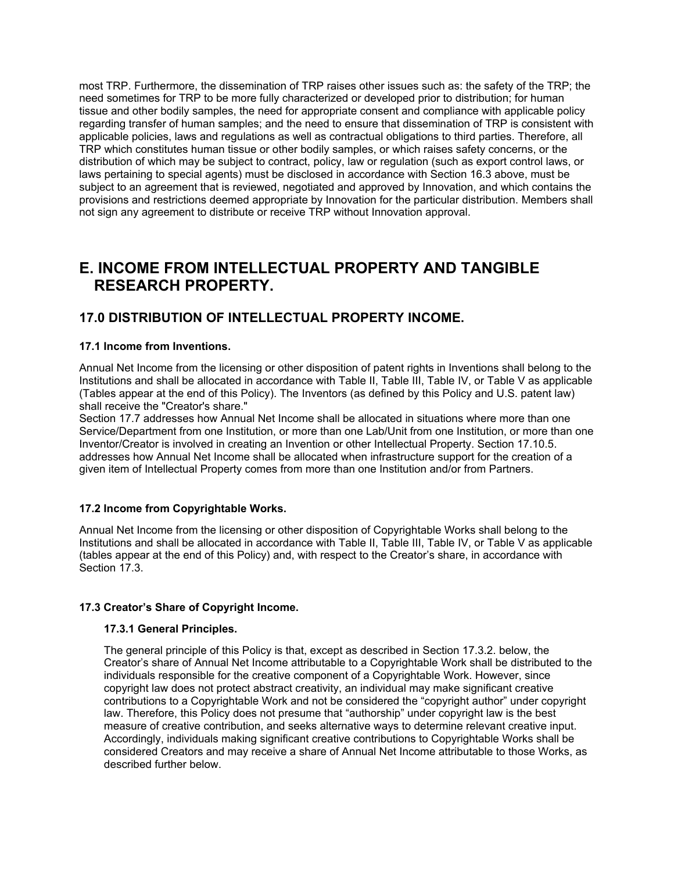most TRP. Furthermore, the dissemination of TRP raises other issues such as: the safety of the TRP; the need sometimes for TRP to be more fully characterized or developed prior to distribution; for human tissue and other bodily samples, the need for appropriate consent and compliance with applicable policy regarding transfer of human samples; and the need to ensure that dissemination of TRP is consistent with applicable policies, laws and regulations as well as contractual obligations to third parties. Therefore, all TRP which constitutes human tissue or other bodily samples, or which raises safety concerns, or the distribution of which may be subject to contract, policy, law or regulation (such as export control laws, or laws pertaining to special agents) must be disclosed in accordance with Section 16.3 above, must be subject to an agreement that is reviewed, negotiated and approved by Innovation, and which contains the provisions and restrictions deemed appropriate by Innovation for the particular distribution. Members shall not sign any agreement to distribute or receive TRP without Innovation approval.

# **E. INCOME FROM INTELLECTUAL PROPERTY AND TANGIBLE RESEARCH PROPERTY.**

# **17.0 DISTRIBUTION OF INTELLECTUAL PROPERTY INCOME.**

### **17.1 Income from Inventions.**

Annual Net Income from the licensing or other disposition of patent rights in Inventions shall belong to the Institutions and shall be allocated in accordance with Table II, Table III, Table IV, or Table V as applicable (Tables appear at the end of this Policy). The Inventors (as defined by this Policy and U.S. patent law) shall receive the "Creator's share."

Section 17.7 addresses how Annual Net Income shall be allocated in situations where more than one Service/Department from one Institution, or more than one Lab/Unit from one Institution, or more than one Inventor/Creator is involved in creating an Invention or other Intellectual Property. Section 17.10.5. addresses how Annual Net Income shall be allocated when infrastructure support for the creation of a given item of Intellectual Property comes from more than one Institution and/or from Partners.

### **17.2 Income from Copyrightable Works.**

Annual Net Income from the licensing or other disposition of Copyrightable Works shall belong to the Institutions and shall be allocated in accordance with Table II, Table III, Table IV, or Table V as applicable (tables appear at the end of this Policy) and, with respect to the Creator's share, in accordance with Section 17.3.

### **17.3 Creator's Share of Copyright Income.**

### **17.3.1 General Principles.**

The general principle of this Policy is that, except as described in Section 17.3.2. below, the Creator's share of Annual Net Income attributable to a Copyrightable Work shall be distributed to the individuals responsible for the creative component of a Copyrightable Work. However, since copyright law does not protect abstract creativity, an individual may make significant creative contributions to a Copyrightable Work and not be considered the "copyright author" under copyright law. Therefore, this Policy does not presume that "authorship" under copyright law is the best measure of creative contribution, and seeks alternative ways to determine relevant creative input. Accordingly, individuals making significant creative contributions to Copyrightable Works shall be considered Creators and may receive a share of Annual Net Income attributable to those Works, as described further below.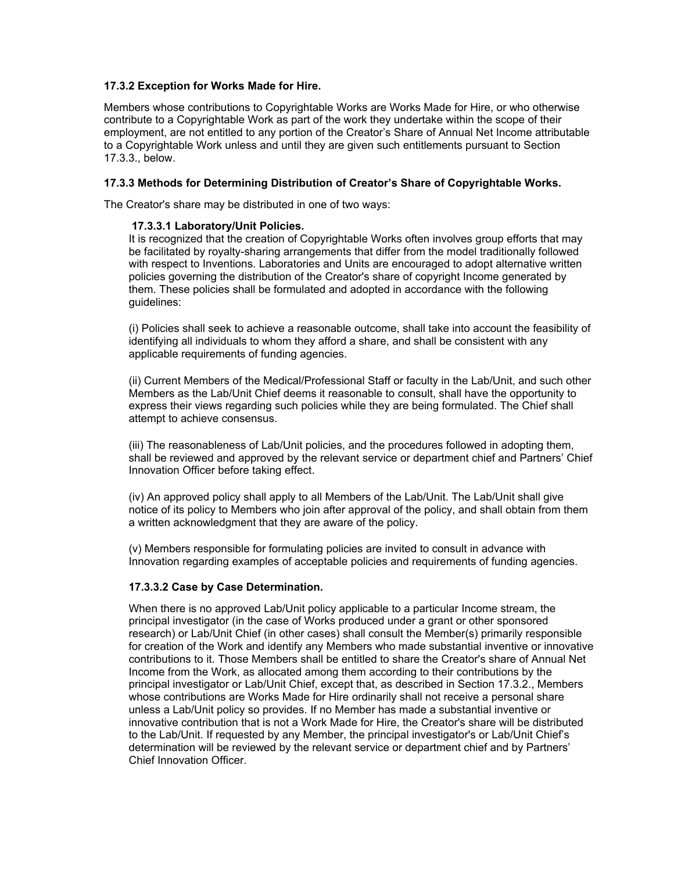### **17.3.2 Exception for Works Made for Hire.**

Members whose contributions to Copyrightable Works are Works Made for Hire, or who otherwise contribute to a Copyrightable Work as part of the work they undertake within the scope of their employment, are not entitled to any portion of the Creator's Share of Annual Net Income attributable to a Copyrightable Work unless and until they are given such entitlements pursuant to Section 17.3.3., below.

#### **17.3.3 Methods for Determining Distribution of Creator's Share of Copyrightable Works.**

The Creator's share may be distributed in one of two ways:

#### **17.3.3.1 Laboratory/Unit Policies.**

It is recognized that the creation of Copyrightable Works often involves group efforts that may be facilitated by royalty-sharing arrangements that differ from the model traditionally followed with respect to Inventions. Laboratories and Units are encouraged to adopt alternative written policies governing the distribution of the Creator's share of copyright Income generated by them. These policies shall be formulated and adopted in accordance with the following guidelines:

(i) Policies shall seek to achieve a reasonable outcome, shall take into account the feasibility of identifying all individuals to whom they afford a share, and shall be consistent with any applicable requirements of funding agencies.

(ii) Current Members of the Medical/Professional Staff or faculty in the Lab/Unit, and such other Members as the Lab/Unit Chief deems it reasonable to consult, shall have the opportunity to express their views regarding such policies while they are being formulated. The Chief shall attempt to achieve consensus.

(iii) The reasonableness of Lab/Unit policies, and the procedures followed in adopting them, shall be reviewed and approved by the relevant service or department chief and Partners' Chief Innovation Officer before taking effect.

(iv) An approved policy shall apply to all Members of the Lab/Unit. The Lab/Unit shall give notice of its policy to Members who join after approval of the policy, and shall obtain from them a written acknowledgment that they are aware of the policy.

(v) Members responsible for formulating policies are invited to consult in advance with Innovation regarding examples of acceptable policies and requirements of funding agencies.

### **17.3.3.2 Case by Case Determination.**

When there is no approved Lab/Unit policy applicable to a particular Income stream, the principal investigator (in the case of Works produced under a grant or other sponsored research) or Lab/Unit Chief (in other cases) shall consult the Member(s) primarily responsible for creation of the Work and identify any Members who made substantial inventive or innovative contributions to it. Those Members shall be entitled to share the Creator's share of Annual Net Income from the Work, as allocated among them according to their contributions by the principal investigator or Lab/Unit Chief, except that, as described in Section 17.3.2., Members whose contributions are Works Made for Hire ordinarily shall not receive a personal share unless a Lab/Unit policy so provides. If no Member has made a substantial inventive or innovative contribution that is not a Work Made for Hire, the Creator's share will be distributed to the Lab/Unit. If requested by any Member, the principal investigator's or Lab/Unit Chief's determination will be reviewed by the relevant service or department chief and by Partners' Chief Innovation Officer.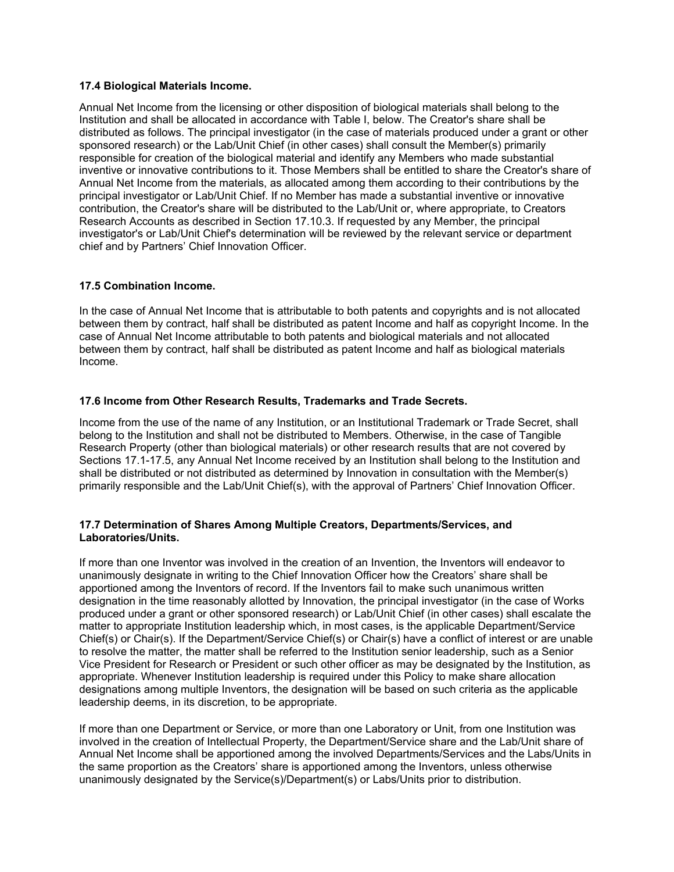### **17.4 Biological Materials Income.**

Annual Net Income from the licensing or other disposition of biological materials shall belong to the Institution and shall be allocated in accordance with Table I, below. The Creator's share shall be distributed as follows. The principal investigator (in the case of materials produced under a grant or other sponsored research) or the Lab/Unit Chief (in other cases) shall consult the Member(s) primarily responsible for creation of the biological material and identify any Members who made substantial inventive or innovative contributions to it. Those Members shall be entitled to share the Creator's share of Annual Net Income from the materials, as allocated among them according to their contributions by the principal investigator or Lab/Unit Chief. If no Member has made a substantial inventive or innovative contribution, the Creator's share will be distributed to the Lab/Unit or, where appropriate, to Creators Research Accounts as described in Section 17.10.3. If requested by any Member, the principal investigator's or Lab/Unit Chief's determination will be reviewed by the relevant service or department chief and by Partners' Chief Innovation Officer.

### **17.5 Combination Income.**

In the case of Annual Net Income that is attributable to both patents and copyrights and is not allocated between them by contract, half shall be distributed as patent Income and half as copyright Income. In the case of Annual Net Income attributable to both patents and biological materials and not allocated between them by contract, half shall be distributed as patent Income and half as biological materials Income.

### **17.6 Income from Other Research Results, Trademarks and Trade Secrets.**

Income from the use of the name of any Institution, or an Institutional Trademark or Trade Secret, shall belong to the Institution and shall not be distributed to Members. Otherwise, in the case of Tangible Research Property (other than biological materials) or other research results that are not covered by Sections 17.1-17.5, any Annual Net Income received by an Institution shall belong to the Institution and shall be distributed or not distributed as determined by Innovation in consultation with the Member(s) primarily responsible and the Lab/Unit Chief(s), with the approval of Partners' Chief Innovation Officer.

### **17.7 Determination of Shares Among Multiple Creators, Departments/Services, and Laboratories/Units.**

If more than one Inventor was involved in the creation of an Invention, the Inventors will endeavor to unanimously designate in writing to the Chief Innovation Officer how the Creators' share shall be apportioned among the Inventors of record. If the Inventors fail to make such unanimous written designation in the time reasonably allotted by Innovation, the principal investigator (in the case of Works produced under a grant or other sponsored research) or Lab/Unit Chief (in other cases) shall escalate the matter to appropriate Institution leadership which, in most cases, is the applicable Department/Service Chief(s) or Chair(s). If the Department/Service Chief(s) or Chair(s) have a conflict of interest or are unable to resolve the matter, the matter shall be referred to the Institution senior leadership, such as a Senior Vice President for Research or President or such other officer as may be designated by the Institution, as appropriate. Whenever Institution leadership is required under this Policy to make share allocation designations among multiple Inventors, the designation will be based on such criteria as the applicable leadership deems, in its discretion, to be appropriate.

If more than one Department or Service, or more than one Laboratory or Unit, from one Institution was involved in the creation of Intellectual Property, the Department/Service share and the Lab/Unit share of Annual Net Income shall be apportioned among the involved Departments/Services and the Labs/Units in the same proportion as the Creators' share is apportioned among the Inventors, unless otherwise unanimously designated by the Service(s)/Department(s) or Labs/Units prior to distribution.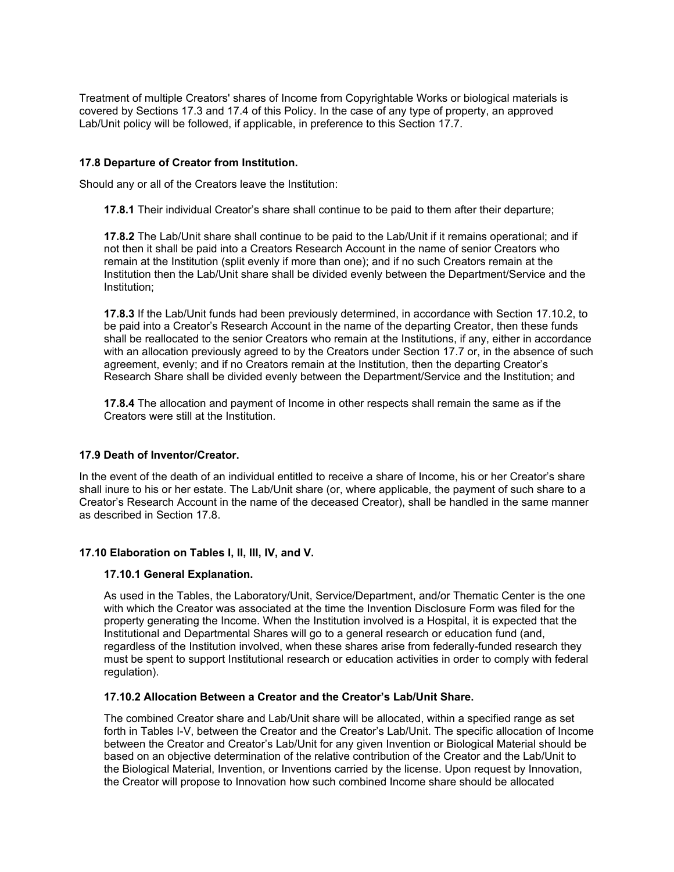Treatment of multiple Creators' shares of Income from Copyrightable Works or biological materials is covered by Sections 17.3 and 17.4 of this Policy. In the case of any type of property, an approved Lab/Unit policy will be followed, if applicable, in preference to this Section 17.7.

### **17.8 Departure of Creator from Institution.**

Should any or all of the Creators leave the Institution:

**17.8.1** Their individual Creator's share shall continue to be paid to them after their departure;

**17.8.2** The Lab/Unit share shall continue to be paid to the Lab/Unit if it remains operational; and if not then it shall be paid into a Creators Research Account in the name of senior Creators who remain at the Institution (split evenly if more than one); and if no such Creators remain at the Institution then the Lab/Unit share shall be divided evenly between the Department/Service and the Institution;

**17.8.3** If the Lab/Unit funds had been previously determined, in accordance with Section 17.10.2, to be paid into a Creator's Research Account in the name of the departing Creator, then these funds shall be reallocated to the senior Creators who remain at the Institutions, if any, either in accordance with an allocation previously agreed to by the Creators under Section 17.7 or, in the absence of such agreement, evenly; and if no Creators remain at the Institution, then the departing Creator's Research Share shall be divided evenly between the Department/Service and the Institution; and

**17.8.4** The allocation and payment of Income in other respects shall remain the same as if the Creators were still at the Institution.

### **17.9 Death of Inventor/Creator.**

In the event of the death of an individual entitled to receive a share of Income, his or her Creator's share shall inure to his or her estate. The Lab/Unit share (or, where applicable, the payment of such share to a Creator's Research Account in the name of the deceased Creator), shall be handled in the same manner as described in Section 17.8.

### **17.10 Elaboration on Tables I, II, III, IV, and V.**

### **17.10.1 General Explanation.**

As used in the Tables, the Laboratory/Unit, Service/Department, and/or Thematic Center is the one with which the Creator was associated at the time the Invention Disclosure Form was filed for the property generating the Income. When the Institution involved is a Hospital, it is expected that the Institutional and Departmental Shares will go to a general research or education fund (and, regardless of the Institution involved, when these shares arise from federally-funded research they must be spent to support Institutional research or education activities in order to comply with federal regulation).

### **17.10.2 Allocation Between a Creator and the Creator's Lab/Unit Share.**

The combined Creator share and Lab/Unit share will be allocated, within a specified range as set forth in Tables I-V, between the Creator and the Creator's Lab/Unit. The specific allocation of Income between the Creator and Creator's Lab/Unit for any given Invention or Biological Material should be based on an objective determination of the relative contribution of the Creator and the Lab/Unit to the Biological Material, Invention, or Inventions carried by the license. Upon request by Innovation, the Creator will propose to Innovation how such combined Income share should be allocated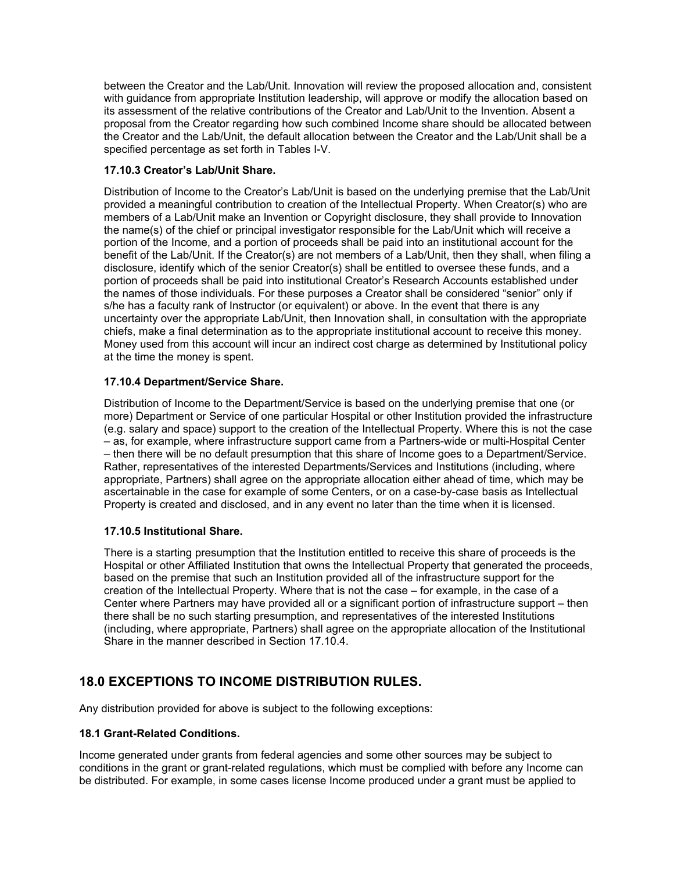between the Creator and the Lab/Unit. Innovation will review the proposed allocation and, consistent with guidance from appropriate Institution leadership, will approve or modify the allocation based on its assessment of the relative contributions of the Creator and Lab/Unit to the Invention. Absent a proposal from the Creator regarding how such combined Income share should be allocated between the Creator and the Lab/Unit, the default allocation between the Creator and the Lab/Unit shall be a specified percentage as set forth in Tables I-V.

### **17.10.3 Creator's Lab/Unit Share.**

Distribution of Income to the Creator's Lab/Unit is based on the underlying premise that the Lab/Unit provided a meaningful contribution to creation of the Intellectual Property. When Creator(s) who are members of a Lab/Unit make an Invention or Copyright disclosure, they shall provide to Innovation the name(s) of the chief or principal investigator responsible for the Lab/Unit which will receive a portion of the Income, and a portion of proceeds shall be paid into an institutional account for the benefit of the Lab/Unit. If the Creator(s) are not members of a Lab/Unit, then they shall, when filing a disclosure, identify which of the senior Creator(s) shall be entitled to oversee these funds, and a portion of proceeds shall be paid into institutional Creator's Research Accounts established under the names of those individuals. For these purposes a Creator shall be considered "senior" only if s/he has a faculty rank of Instructor (or equivalent) or above. In the event that there is any uncertainty over the appropriate Lab/Unit, then Innovation shall, in consultation with the appropriate chiefs, make a final determination as to the appropriate institutional account to receive this money. Money used from this account will incur an indirect cost charge as determined by Institutional policy at the time the money is spent.

### **17.10.4 Department/Service Share.**

Distribution of Income to the Department/Service is based on the underlying premise that one (or more) Department or Service of one particular Hospital or other Institution provided the infrastructure (e.g. salary and space) support to the creation of the Intellectual Property. Where this is not the case – as, for example, where infrastructure support came from a Partners-wide or multi-Hospital Center – then there will be no default presumption that this share of Income goes to a Department/Service. Rather, representatives of the interested Departments/Services and Institutions (including, where appropriate, Partners) shall agree on the appropriate allocation either ahead of time, which may be ascertainable in the case for example of some Centers, or on a case-by-case basis as Intellectual Property is created and disclosed, and in any event no later than the time when it is licensed.

### **17.10.5 Institutional Share.**

There is a starting presumption that the Institution entitled to receive this share of proceeds is the Hospital or other Affiliated Institution that owns the Intellectual Property that generated the proceeds, based on the premise that such an Institution provided all of the infrastructure support for the creation of the Intellectual Property. Where that is not the case – for example, in the case of a Center where Partners may have provided all or a significant portion of infrastructure support – then there shall be no such starting presumption, and representatives of the interested Institutions (including, where appropriate, Partners) shall agree on the appropriate allocation of the Institutional Share in the manner described in Section 17.10.4.

# **18.0 EXCEPTIONS TO INCOME DISTRIBUTION RULES.**

Any distribution provided for above is subject to the following exceptions:

### **18.1 Grant-Related Conditions.**

Income generated under grants from federal agencies and some other sources may be subject to conditions in the grant or grant-related regulations, which must be complied with before any Income can be distributed. For example, in some cases license Income produced under a grant must be applied to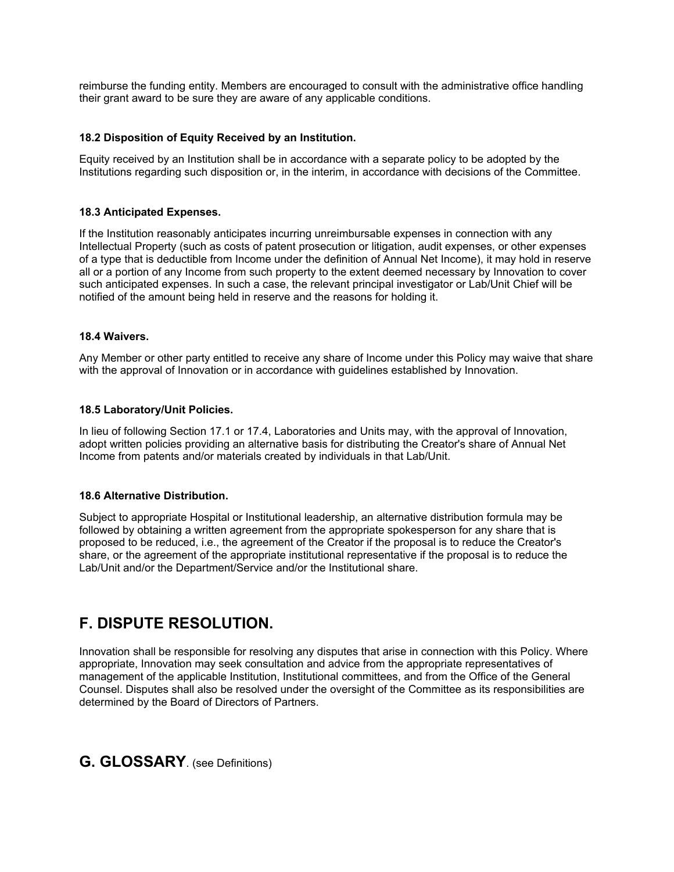reimburse the funding entity. Members are encouraged to consult with the administrative office handling their grant award to be sure they are aware of any applicable conditions.

### **18.2 Disposition of Equity Received by an Institution.**

Equity received by an Institution shall be in accordance with a separate policy to be adopted by the Institutions regarding such disposition or, in the interim, in accordance with decisions of the Committee.

### **18.3 Anticipated Expenses.**

If the Institution reasonably anticipates incurring unreimbursable expenses in connection with any Intellectual Property (such as costs of patent prosecution or litigation, audit expenses, or other expenses of a type that is deductible from Income under the definition of Annual Net Income), it may hold in reserve all or a portion of any Income from such property to the extent deemed necessary by Innovation to cover such anticipated expenses. In such a case, the relevant principal investigator or Lab/Unit Chief will be notified of the amount being held in reserve and the reasons for holding it.

### **18.4 Waivers.**

Any Member or other party entitled to receive any share of Income under this Policy may waive that share with the approval of Innovation or in accordance with guidelines established by Innovation.

### **18.5 Laboratory/Unit Policies.**

In lieu of following Section 17.1 or 17.4, Laboratories and Units may, with the approval of Innovation, adopt written policies providing an alternative basis for distributing the Creator's share of Annual Net Income from patents and/or materials created by individuals in that Lab/Unit.

### **18.6 Alternative Distribution.**

Subject to appropriate Hospital or Institutional leadership, an alternative distribution formula may be followed by obtaining a written agreement from the appropriate spokesperson for any share that is proposed to be reduced, i.e., the agreement of the Creator if the proposal is to reduce the Creator's share, or the agreement of the appropriate institutional representative if the proposal is to reduce the Lab/Unit and/or the Department/Service and/or the Institutional share.

# **F. DISPUTE RESOLUTION.**

Innovation shall be responsible for resolving any disputes that arise in connection with this Policy. Where appropriate, Innovation may seek consultation and advice from the appropriate representatives of management of the applicable Institution, Institutional committees, and from the Office of the General Counsel. Disputes shall also be resolved under the oversight of the Committee as its responsibilities are determined by the Board of Directors of Partners.

### **G. GLOSSARY**. (see Definitions)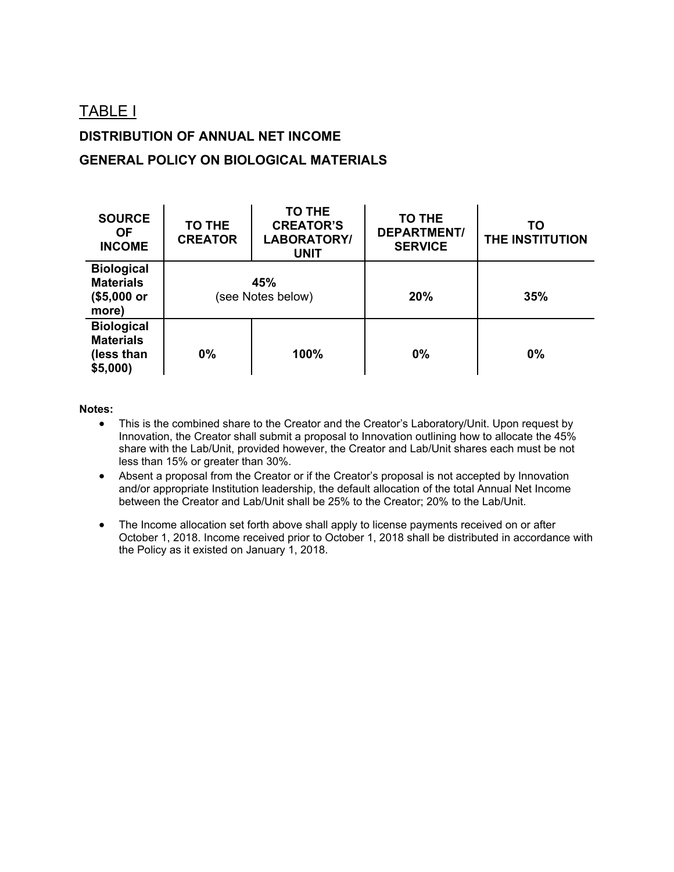# TABLE I

# **DISTRIBUTION OF ANNUAL NET INCOME**

## **GENERAL POLICY ON BIOLOGICAL MATERIALS**

| <b>SOURCE</b><br><b>OF</b><br><b>INCOME</b>                     | <b>TO THE</b><br><b>CREATOR</b> | <b>TO THE</b><br><b>CREATOR'S</b><br>LABORATORY/<br><b>UNIT</b> | <b>TO THE</b><br><b>DEPARTMENT/</b><br><b>SERVICE</b> | TO<br>THE INSTITUTION |
|-----------------------------------------------------------------|---------------------------------|-----------------------------------------------------------------|-------------------------------------------------------|-----------------------|
| <b>Biological</b><br><b>Materials</b><br>(\$5,000 or<br>more)   | 45%<br>(see Notes below)        |                                                                 | 20%                                                   | 35%                   |
| <b>Biological</b><br><b>Materials</b><br>(less than<br>\$5,000) | $0\%$                           | 100%                                                            | 0%                                                    | 0%                    |

### **Notes:**

- This is the combined share to the Creator and the Creator's Laboratory/Unit. Upon request by Innovation, the Creator shall submit a proposal to Innovation outlining how to allocate the 45% share with the Lab/Unit, provided however, the Creator and Lab/Unit shares each must be not less than 15% or greater than 30%.
- Absent a proposal from the Creator or if the Creator's proposal is not accepted by Innovation and/or appropriate Institution leadership, the default allocation of the total Annual Net Income between the Creator and Lab/Unit shall be 25% to the Creator; 20% to the Lab/Unit.
- The Income allocation set forth above shall apply to license payments received on or after October 1, 2018. Income received prior to October 1, 2018 shall be distributed in accordance with the Policy as it existed on January 1, 2018.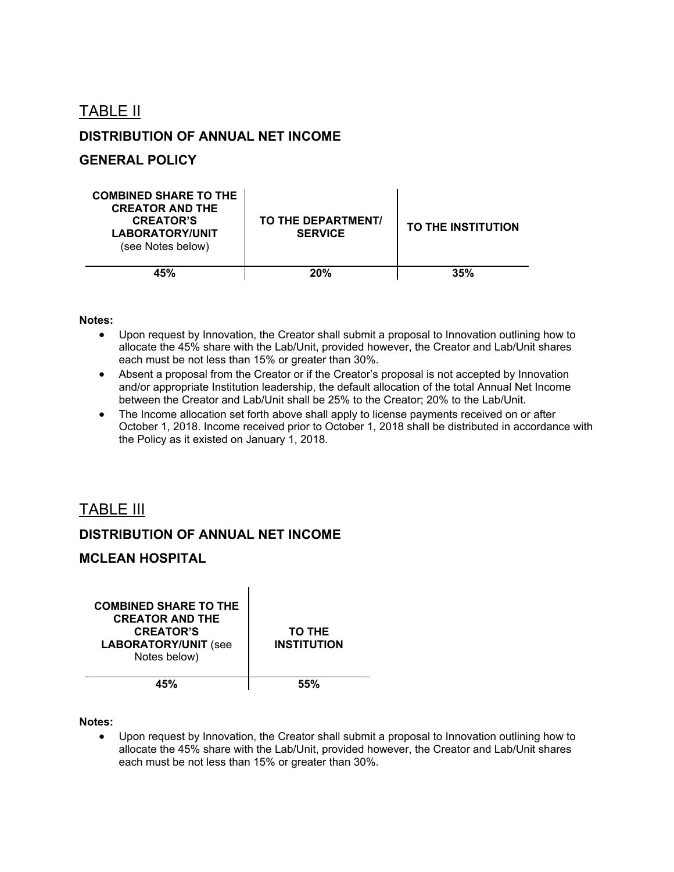TABLE II

# **DISTRIBUTION OF ANNUAL NET INCOME**

## **GENERAL POLICY**

| <b>COMBINED SHARE TO THE</b><br><b>CREATOR AND THE</b><br><b>CREATOR'S</b><br><b>LABORATORY/UNIT</b><br>(see Notes below) | TO THE DEPARTMENT/<br><b>SERVICE</b> | <b>TO THE INSTITUTION</b> |
|---------------------------------------------------------------------------------------------------------------------------|--------------------------------------|---------------------------|
| 45%                                                                                                                       | 20%                                  | 35%                       |

### **Notes:**

- Upon request by Innovation, the Creator shall submit a proposal to Innovation outlining how to allocate the 45% share with the Lab/Unit, provided however, the Creator and Lab/Unit shares each must be not less than 15% or greater than 30%.
- Absent a proposal from the Creator or if the Creator's proposal is not accepted by Innovation and/or appropriate Institution leadership, the default allocation of the total Annual Net Income between the Creator and Lab/Unit shall be 25% to the Creator; 20% to the Lab/Unit.
- The Income allocation set forth above shall apply to license payments received on or after October 1, 2018. Income received prior to October 1, 2018 shall be distributed in accordance with the Policy as it existed on January 1, 2018.

# TABLE III

## **DISTRIBUTION OF ANNUAL NET INCOME**

### **MCLEAN HOSPITAL**

| <b>COMBINED SHARE TO THE</b><br><b>CREATOR AND THE</b><br><b>CREATOR'S</b><br><b>LABORATORY/UNIT (see</b><br>Notes below) | <b>TO THE</b><br><b>INSTITUTION</b> |
|---------------------------------------------------------------------------------------------------------------------------|-------------------------------------|
|                                                                                                                           |                                     |

#### **Notes:**

 Upon request by Innovation, the Creator shall submit a proposal to Innovation outlining how to allocate the 45% share with the Lab/Unit, provided however, the Creator and Lab/Unit shares each must be not less than 15% or greater than 30%.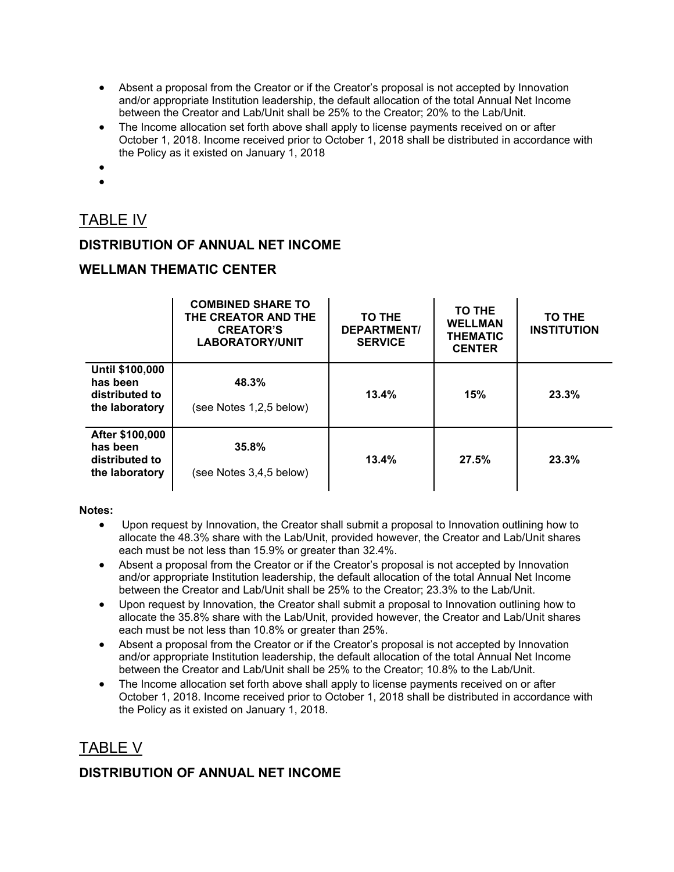- Absent a proposal from the Creator or if the Creator's proposal is not accepted by Innovation and/or appropriate Institution leadership, the default allocation of the total Annual Net Income between the Creator and Lab/Unit shall be 25% to the Creator; 20% to the Lab/Unit.
- The Income allocation set forth above shall apply to license payments received on or after October 1, 2018. Income received prior to October 1, 2018 shall be distributed in accordance with the Policy as it existed on January 1, 2018
- $\bullet$
- $\bullet$

# TABLE IV

# **DISTRIBUTION OF ANNUAL NET INCOME**

# **WELLMAN THEMATIC CENTER**

|                                                                 | <b>COMBINED SHARE TO</b><br>THE CREATOR AND THE<br><b>CREATOR'S</b><br><b>LABORATORY/UNIT</b> | TO THE<br><b>DEPARTMENT/</b><br><b>SERVICE</b> | TO THE<br><b>WELLMAN</b><br><b>THEMATIC</b><br><b>CENTER</b> | TO THE<br><b>INSTITUTION</b> |
|-----------------------------------------------------------------|-----------------------------------------------------------------------------------------------|------------------------------------------------|--------------------------------------------------------------|------------------------------|
| Until \$100,000<br>has been<br>distributed to<br>the laboratory | 48.3%<br>(see Notes 1,2,5 below)                                                              | 13.4%                                          | 15%                                                          | 23.3%                        |
| After \$100,000<br>has been<br>distributed to<br>the laboratory | 35.8%<br>(see Notes 3,4,5 below)                                                              | 13.4%                                          | 27.5%                                                        | 23.3%                        |

### **Notes:**

- Upon request by Innovation, the Creator shall submit a proposal to Innovation outlining how to allocate the 48.3% share with the Lab/Unit, provided however, the Creator and Lab/Unit shares each must be not less than 15.9% or greater than 32.4%.
- Absent a proposal from the Creator or if the Creator's proposal is not accepted by Innovation and/or appropriate Institution leadership, the default allocation of the total Annual Net Income between the Creator and Lab/Unit shall be 25% to the Creator; 23.3% to the Lab/Unit.
- Upon request by Innovation, the Creator shall submit a proposal to Innovation outlining how to allocate the 35.8% share with the Lab/Unit, provided however, the Creator and Lab/Unit shares each must be not less than 10.8% or greater than 25%.
- Absent a proposal from the Creator or if the Creator's proposal is not accepted by Innovation and/or appropriate Institution leadership, the default allocation of the total Annual Net Income between the Creator and Lab/Unit shall be 25% to the Creator; 10.8% to the Lab/Unit.
- The Income allocation set forth above shall apply to license payments received on or after October 1, 2018. Income received prior to October 1, 2018 shall be distributed in accordance with the Policy as it existed on January 1, 2018.

# TABLE V

# **DISTRIBUTION OF ANNUAL NET INCOME**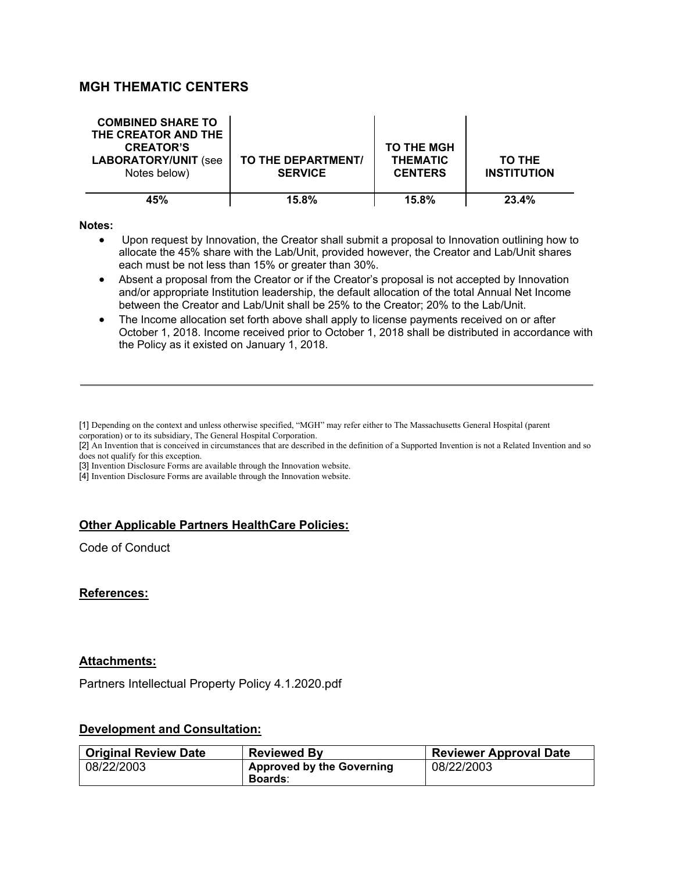# **MGH THEMATIC CENTERS**

| <b>COMBINED SHARE TO</b><br>THE CREATOR AND THE<br><b>CREATOR'S</b><br><b>LABORATORY/UNIT (see</b><br>Notes below) | TO THE DEPARTMENT/<br><b>SERVICE</b> | <b>TO THE MGH</b><br><b>THEMATIC</b><br><b>CENTERS</b> | TO THE<br><b>INSTITUTION</b> |
|--------------------------------------------------------------------------------------------------------------------|--------------------------------------|--------------------------------------------------------|------------------------------|
| 45%                                                                                                                | 15.8%                                | 15.8%                                                  | 23.4%                        |

#### **Notes:**

- Upon request by Innovation, the Creator shall submit a proposal to Innovation outlining how to allocate the 45% share with the Lab/Unit, provided however, the Creator and Lab/Unit shares each must be not less than 15% or greater than 30%.
- Absent a proposal from the Creator or if the Creator's proposal is not accepted by Innovation and/or appropriate Institution leadership, the default allocation of the total Annual Net Income between the Creator and Lab/Unit shall be 25% to the Creator; 20% to the Lab/Unit.
- The Income allocation set forth above shall apply to license payments received on or after October 1, 2018. Income received prior to October 1, 2018 shall be distributed in accordance with the Policy as it existed on January 1, 2018.

[3] Invention Disclosure Forms are available through the Innovation website.

[4] Invention Disclosure Forms are available through the Innovation website.

### **Other Applicable Partners HealthCare Policies:**

Code of Conduct

### **References:**

### **Attachments:**

Partners Intellectual Property Policy 4.1.2020.pdf

### **Development and Consultation:**

| <b>Original Review Date</b> | <b>Reviewed By</b>               | <b>Reviewer Approval Date</b> |
|-----------------------------|----------------------------------|-------------------------------|
| 08/22/2003                  | <b>Approved by the Governing</b> | 08/22/2003                    |
|                             | <b>Boards:</b>                   |                               |

<sup>[1]</sup> Depending on the context and unless otherwise specified, "MGH" may refer either to The Massachusetts General Hospital (parent corporation) or to its subsidiary, The General Hospital Corporation.

<sup>[2]</sup> An Invention that is conceived in circumstances that are described in the definition of a Supported Invention is not a Related Invention and so does not qualify for this exception.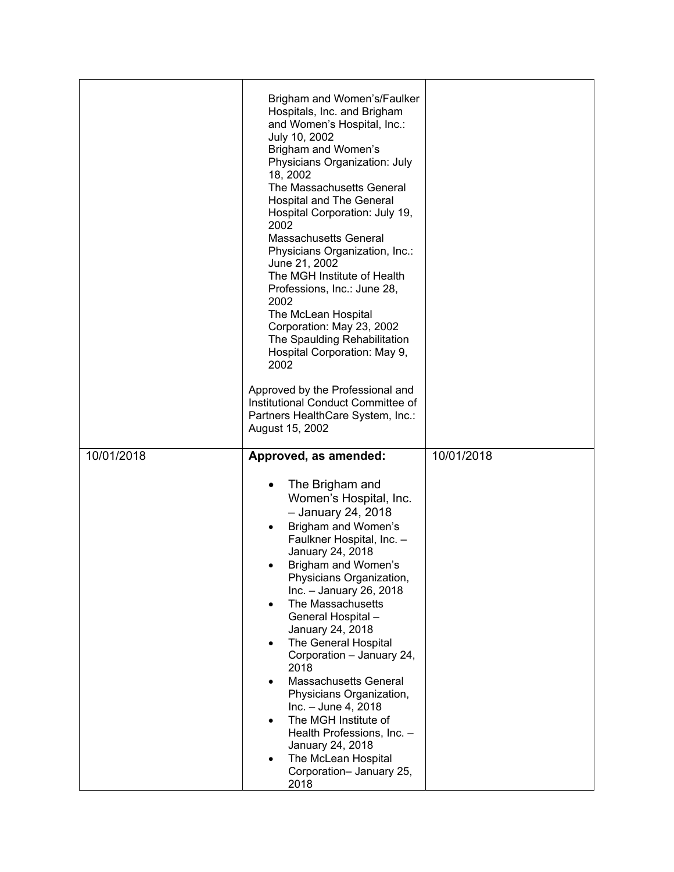|            | Brigham and Women's/Faulker<br>Hospitals, Inc. and Brigham<br>and Women's Hospital, Inc.:<br>July 10, 2002<br>Brigham and Women's<br>Physicians Organization: July<br>18, 2002<br>The Massachusetts General<br><b>Hospital and The General</b><br>Hospital Corporation: July 19,<br>2002<br>Massachusetts General<br>Physicians Organization, Inc.:<br>June 21, 2002<br>The MGH Institute of Health<br>Professions, Inc.: June 28,<br>2002<br>The McLean Hospital<br>Corporation: May 23, 2002<br>The Spaulding Rehabilitation<br>Hospital Corporation: May 9,<br>2002<br>Approved by the Professional and<br>Institutional Conduct Committee of<br>Partners HealthCare System, Inc.:<br>August 15, 2002 |            |
|------------|----------------------------------------------------------------------------------------------------------------------------------------------------------------------------------------------------------------------------------------------------------------------------------------------------------------------------------------------------------------------------------------------------------------------------------------------------------------------------------------------------------------------------------------------------------------------------------------------------------------------------------------------------------------------------------------------------------|------------|
| 10/01/2018 | Approved, as amended:<br>The Brigham and<br>Women's Hospital, Inc.<br>- January 24, 2018<br>Brigham and Women's<br>Faulkner Hospital, Inc. -<br>January 24, 2018<br>Brigham and Women's<br>Physicians Organization,<br>Inc. - January 26, 2018<br>The Massachusetts<br>General Hospital-<br>January 24, 2018<br>The General Hospital<br>Corporation - January 24,<br>2018<br><b>Massachusetts General</b><br>Physicians Organization,<br>$Inc. - June 4, 2018$<br>The MGH Institute of<br>Health Professions, Inc. -                                                                                                                                                                                     | 10/01/2018 |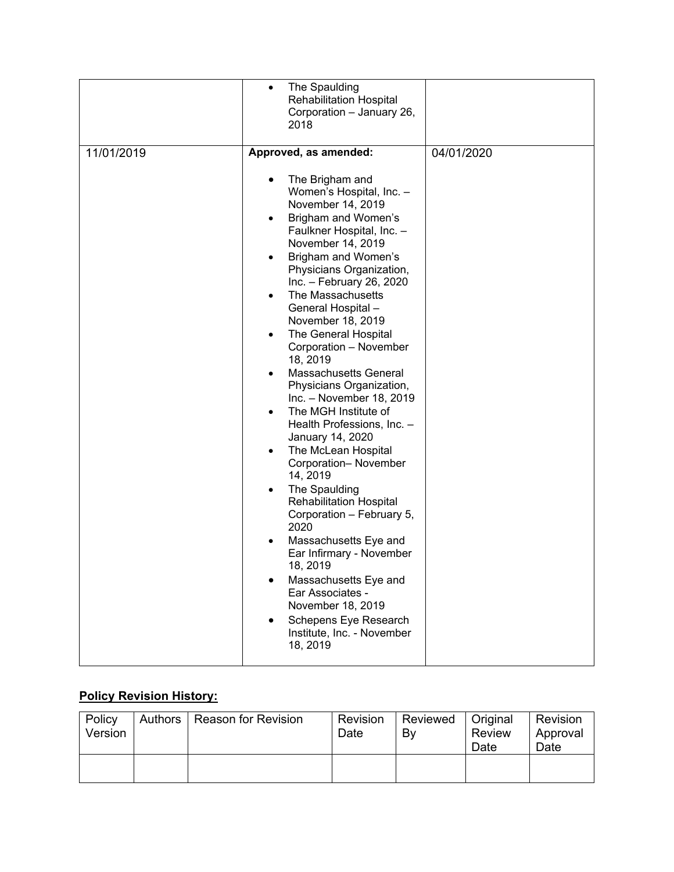|            | The Spaulding<br>$\bullet$<br><b>Rehabilitation Hospital</b><br>Corporation - January 26,<br>2018                                                                                                                                                                                                                                                                                                                                                                                                                                                                                                                                                                                                                                                                                                                                                                                                                                                                                                    |            |
|------------|------------------------------------------------------------------------------------------------------------------------------------------------------------------------------------------------------------------------------------------------------------------------------------------------------------------------------------------------------------------------------------------------------------------------------------------------------------------------------------------------------------------------------------------------------------------------------------------------------------------------------------------------------------------------------------------------------------------------------------------------------------------------------------------------------------------------------------------------------------------------------------------------------------------------------------------------------------------------------------------------------|------------|
| 11/01/2019 | Approved, as amended:<br>The Brigham and<br>$\bullet$<br>Women's Hospital, Inc. -<br>November 14, 2019<br>Brigham and Women's<br>$\bullet$<br>Faulkner Hospital, Inc. -<br>November 14, 2019<br>Brigham and Women's<br>Physicians Organization,<br>Inc. - February 26, 2020<br>The Massachusetts<br>$\bullet$<br>General Hospital-<br>November 18, 2019<br>The General Hospital<br>Corporation - November<br>18, 2019<br><b>Massachusetts General</b><br>Physicians Organization,<br>Inc. - November 18, 2019<br>The MGH Institute of<br>$\bullet$<br>Health Professions, Inc. -<br>January 14, 2020<br>The McLean Hospital<br>$\bullet$<br>Corporation-November<br>14, 2019<br>The Spaulding<br>$\bullet$<br><b>Rehabilitation Hospital</b><br>Corporation - February 5,<br>2020<br>Massachusetts Eye and<br>$\bullet$<br>Ear Infirmary - November<br>18, 2019<br>Massachusetts Eye and<br>Ear Associates -<br>November 18, 2019<br>Schepens Eye Research<br>Institute, Inc. - November<br>18, 2019 | 04/01/2020 |

# **Policy Revision History:**

| Policy<br>Version | Authors | <b>Reason for Revision</b> | Revision<br>Date | Reviewed<br>Bv | Original<br><b>Review</b><br>Date | Revision<br>Approval<br>Date |
|-------------------|---------|----------------------------|------------------|----------------|-----------------------------------|------------------------------|
|                   |         |                            |                  |                |                                   |                              |